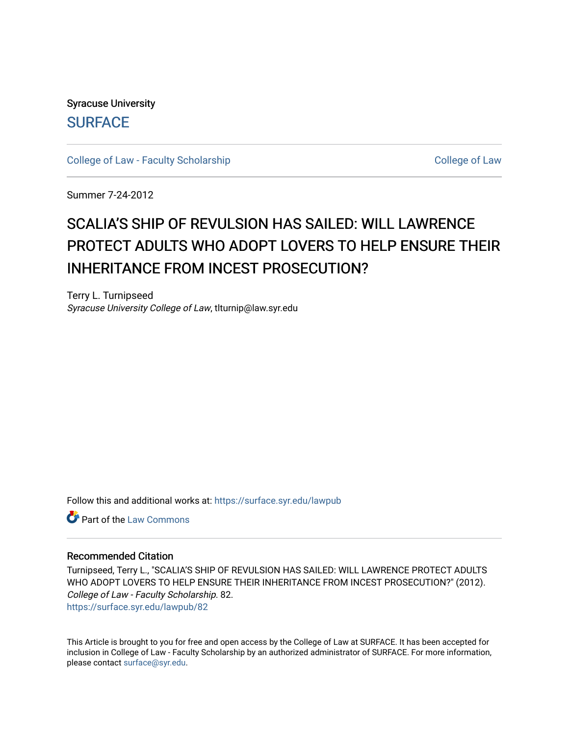Syracuse University **[SURFACE](https://surface.syr.edu/)** 

[College of Law - Faculty Scholarship](https://surface.syr.edu/lawpub) College of Law

Summer 7-24-2012

# SCALIA'S SHIP OF REVULSION HAS SAILED: WILL LAWRENCE PROTECT ADULTS WHO ADOPT LOVERS TO HELP ENSURE THEIR INHERITANCE FROM INCEST PROSECUTION?

Terry L. Turnipseed Syracuse University College of Law, tlturnip@law.syr.edu

Follow this and additional works at: [https://surface.syr.edu/lawpub](https://surface.syr.edu/lawpub?utm_source=surface.syr.edu%2Flawpub%2F82&utm_medium=PDF&utm_campaign=PDFCoverPages)

**C** Part of the [Law Commons](http://network.bepress.com/hgg/discipline/578?utm_source=surface.syr.edu%2Flawpub%2F82&utm_medium=PDF&utm_campaign=PDFCoverPages)

#### Recommended Citation

Turnipseed, Terry L., "SCALIA'S SHIP OF REVULSION HAS SAILED: WILL LAWRENCE PROTECT ADULTS WHO ADOPT LOVERS TO HELP ENSURE THEIR INHERITANCE FROM INCEST PROSECUTION?" (2012). College of Law - Faculty Scholarship. 82. [https://surface.syr.edu/lawpub/82](https://surface.syr.edu/lawpub/82?utm_source=surface.syr.edu%2Flawpub%2F82&utm_medium=PDF&utm_campaign=PDFCoverPages) 

This Article is brought to you for free and open access by the College of Law at SURFACE. It has been accepted for inclusion in College of Law - Faculty Scholarship by an authorized administrator of SURFACE. For more information, please contact [surface@syr.edu.](mailto:surface@syr.edu)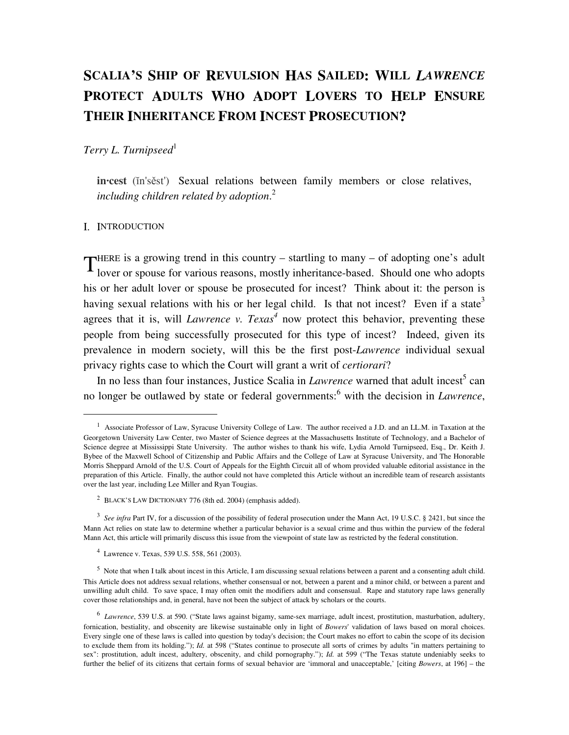## **SCALIA'S SHIP OF REVULSION HAS SAILED: WILL** *LAWRENCE* **PROTECT ADULTS WHO ADOPT LOVERS TO HELP ENSURE THEIR INHERITANCE FROM INCEST PROSECUTION?**

## *Terry L. Turnipseed*<sup>1</sup>

**in·cest** (ĭn'sěst') Sexual relations between family members or close relatives, *including children related by adoption*. 2

#### I. INTRODUCTION

<u>.</u>

HERE is a growing trend in this country – startling to many – of adopting one's adult THERE is a growing trend in this country – startling to many – of adopting one's adult<br>lover or spouse for various reasons, mostly inheritance-based. Should one who adopts his or her adult lover or spouse be prosecuted for incest? Think about it: the person is having sexual relations with his or her legal child. Is that not incest? Even if a state<sup>3</sup> agrees that it is, will *Lawrence v. Texas*<sup>4</sup> now protect this behavior, preventing these people from being successfully prosecuted for this type of incest? Indeed, given its prevalence in modern society, will this be the first post-*Lawrence* individual sexual privacy rights case to which the Court will grant a writ of *certiorari*?

In no less than four instances, Justice Scalia in *Lawrence* warned that adult incest<sup>5</sup> can no longer be outlawed by state or federal governments:<sup>6</sup> with the decision in *Lawrence*,

<sup>&</sup>lt;sup>1</sup> Associate Professor of Law, Syracuse University College of Law. The author received a J.D. and an LL.M. in Taxation at the Georgetown University Law Center, two Master of Science degrees at the Massachusetts Institute of Technology, and a Bachelor of Science degree at Mississippi State University. The author wishes to thank his wife, Lydia Arnold Turnipseed, Esq., Dr. Keith J. Bybee of the Maxwell School of Citizenship and Public Affairs and the College of Law at Syracuse University, and The Honorable Morris Sheppard Arnold of the U.S. Court of Appeals for the Eighth Circuit all of whom provided valuable editorial assistance in the preparation of this Article. Finally, the author could not have completed this Article without an incredible team of research assistants over the last year, including Lee Miller and Ryan Tougias.

<sup>&</sup>lt;sup>2</sup> BLACK'S LAW DICTIONARY 776 (8th ed. 2004) (emphasis added).

<sup>&</sup>lt;sup>3</sup> See infra Part IV, for a discussion of the possibility of federal prosecution under the Mann Act, 19 U.S.C. § 2421, but since the Mann Act relies on state law to determine whether a particular behavior is a sexual crime and thus within the purview of the federal Mann Act, this article will primarily discuss this issue from the viewpoint of state law as restricted by the federal constitution.

<sup>4</sup> Lawrence v. Texas, 539 U.S. 558, 561 (2003).

 $<sup>5</sup>$  Note that when I talk about incest in this Article, I am discussing sexual relations between a parent and a consenting adult child.</sup> This Article does not address sexual relations, whether consensual or not, between a parent and a minor child, or between a parent and unwilling adult child. To save space, I may often omit the modifiers adult and consensual. Rape and statutory rape laws generally cover those relationships and, in general, have not been the subject of attack by scholars or the courts.

<sup>6</sup> *Lawrence*, 539 U.S. at 590. ("State laws against bigamy, same-sex marriage, adult incest, prostitution, masturbation, adultery, fornication, bestiality, and obscenity are likewise sustainable only in light of *Bowers*' validation of laws based on moral choices. Every single one of these laws is called into question by today's decision; the Court makes no effort to cabin the scope of its decision to exclude them from its holding."); *Id.* at 598 ("States continue to prosecute all sorts of crimes by adults "in matters pertaining to sex": prostitution, adult incest, adultery, obscenity, and child pornography."); *Id.* at 599 ("The Texas statute undeniably seeks to further the belief of its citizens that certain forms of sexual behavior are 'immoral and unacceptable,' [citing *Bowers*, at 196] – the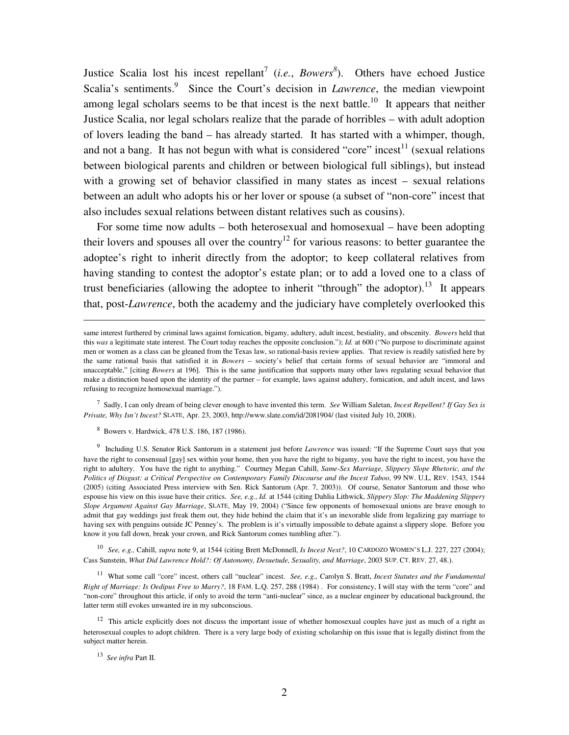Justice Scalia lost his incest repellant<sup>7</sup> (*i.e.*, *Bowers*<sup>8</sup>). Others have echoed Justice Scalia's sentiments.<sup>9</sup> Since the Court's decision in *Lawrence*, the median viewpoint among legal scholars seems to be that incest is the next battle.<sup>10</sup> It appears that neither Justice Scalia, nor legal scholars realize that the parade of horribles – with adult adoption of lovers leading the band – has already started. It has started with a whimper, though, and not a bang. It has not begun with what is considered "core" incest<sup>11</sup> (sexual relations between biological parents and children or between biological full siblings), but instead with a growing set of behavior classified in many states as incest – sexual relations between an adult who adopts his or her lover or spouse (a subset of "non-core" incest that also includes sexual relations between distant relatives such as cousins).

 For some time now adults – both heterosexual and homosexual – have been adopting their lovers and spouses all over the country<sup>12</sup> for various reasons: to better guarantee the adoptee's right to inherit directly from the adoptor; to keep collateral relatives from having standing to contest the adoptor's estate plan; or to add a loved one to a class of trust beneficiaries (allowing the adoptee to inherit "through" the adoptor).<sup>13</sup> It appears that, post-*Lawrence*, both the academy and the judiciary have completely overlooked this

7 Sadly, I can only dream of being clever enough to have invented this term. *See* William Saletan, *Incest Repellent? If Gay Sex is Private, Why Isn't Incest?* SLATE, Apr. 23, 2003, http://www.slate.com/id/2081904/ (last visited July 10, 2008).

8 Bowers v. Hardwick, 478 U.S. 186, 187 (1986).

9 Including U.S. Senator Rick Santorum in a statement just before *Lawrence* was issued: "If the Supreme Court says that you have the right to consensual [gay] sex within your home, then you have the right to bigamy, you have the right to incest, you have the right to adultery. You have the right to anything." Courtney Megan Cahill, *Same-Sex Marriage, Slippery Slope Rhetoric, and the Politics of Disgust: a Critical Perspective on Contemporary Family Discourse and the Incest Taboo*, 99 NW. U.L. REV. 1543, 1544 (2005) (citing Associated Press interview with Sen. Rick Santorum (Apr. 7, 2003)). Of course, Senator Santorum and those who espouse his view on this issue have their critics. *See, e.g.*, *Id.* at 1544 (citing Dahlia Lithwick, *Slippery Slop: The Maddening Slippery Slope Argument Against Gay Marriage*, SLATE, May 19, 2004) ("Since few opponents of homosexual unions are brave enough to admit that gay weddings just freak them out, they hide behind the claim that it's an inexorable slide from legalizing gay marriage to having sex with penguins outside JC Penney's. The problem is it's virtually impossible to debate against a slippery slope. Before you know it you fall down, break your crown, and Rick Santorum comes tumbling after.").

10 *See, e.g.,* Cahill, *supra* note 9, at 1544 (citing Brett McDonnell, *Is Incest Next?*, 10 CARDOZO WOMEN'S L.J. 227, 227 (2004); Cass Sunstein, *What Did Lawrence Hold?: Of Autonomy, Desuetude, Sexuality, and Marriage*, 2003 SUP. CT. REV. 27, 48.).

<sup>11</sup> What some call "core" incest, others call "nuclear" incest. *See, e.g.,* Carolyn S. Bratt, *Incest Statutes and the Fundamental Right of Marriage: Is Oedipus Free to Marry?*, 18 FAM. L.Q. 257, 288 (1984) . For consistency, I will stay with the term "core" and "non-core" throughout this article, if only to avoid the term "anti-nuclear" since, as a nuclear engineer by educational background, the latter term still evokes unwanted ire in my subconscious.

 $12$  This article explicitly does not discuss the important issue of whether homosexual couples have just as much of a right as heterosexual couples to adopt children. There is a very large body of existing scholarship on this issue that is legally distinct from the subject matter herein.

13 *See infra* Part II.

<u>.</u>

same interest furthered by criminal laws against fornication, bigamy, adultery, adult incest, bestiality, and obscenity. *Bowers* held that this *was* a legitimate state interest. The Court today reaches the opposite conclusion."); *Id.* at 600 ("No purpose to discriminate against men or women as a class can be gleaned from the Texas law, so rational-basis review applies. That review is readily satisfied here by the same rational basis that satisfied it in *Bowers* – society's belief that certain forms of sexual behavior are "immoral and unacceptable," [citing *Bowers* at 196]. This is the same justification that supports many other laws regulating sexual behavior that make a distinction based upon the identity of the partner – for example, laws against adultery, fornication, and adult incest, and laws refusing to recognize homosexual marriage.").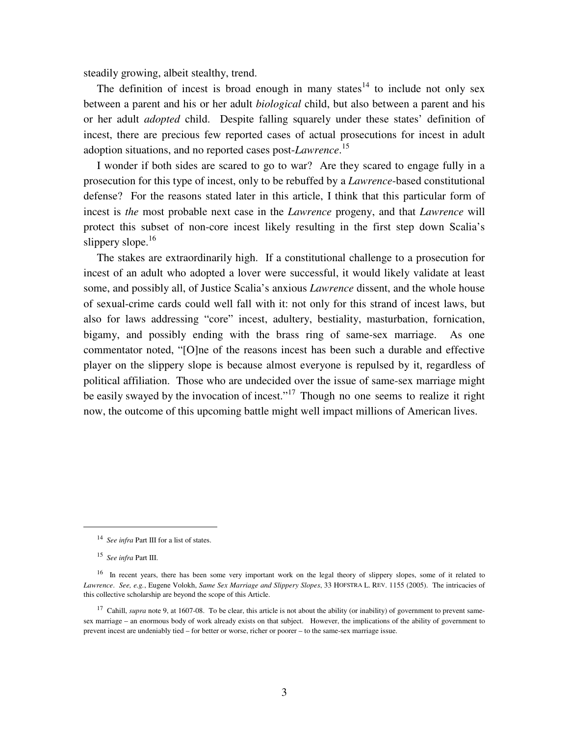steadily growing, albeit stealthy, trend.

The definition of incest is broad enough in many states<sup>14</sup> to include not only sex between a parent and his or her adult *biological* child, but also between a parent and his or her adult *adopted* child. Despite falling squarely under these states' definition of incest, there are precious few reported cases of actual prosecutions for incest in adult adoption situations, and no reported cases post-*Lawrence*. 15

 I wonder if both sides are scared to go to war? Are they scared to engage fully in a prosecution for this type of incest, only to be rebuffed by a *Lawrence*-based constitutional defense? For the reasons stated later in this article, I think that this particular form of incest is *the* most probable next case in the *Lawrence* progeny, and that *Lawrence* will protect this subset of non-core incest likely resulting in the first step down Scalia's slippery slope. $16$ 

 The stakes are extraordinarily high. If a constitutional challenge to a prosecution for incest of an adult who adopted a lover were successful, it would likely validate at least some, and possibly all, of Justice Scalia's anxious *Lawrence* dissent, and the whole house of sexual-crime cards could well fall with it: not only for this strand of incest laws, but also for laws addressing "core" incest, adultery, bestiality, masturbation, fornication, bigamy, and possibly ending with the brass ring of same-sex marriage. As one commentator noted, "[O]ne of the reasons incest has been such a durable and effective player on the slippery slope is because almost everyone is repulsed by it, regardless of political affiliation. Those who are undecided over the issue of same-sex marriage might be easily swayed by the invocation of incest."<sup>17</sup> Though no one seems to realize it right now, the outcome of this upcoming battle might well impact millions of American lives.

 $\overline{a}$ 

<sup>&</sup>lt;sup>14</sup> See infra Part III for a list of states.

<sup>15</sup> *See infra* Part III.

<sup>&</sup>lt;sup>16</sup> In recent years, there has been some very important work on the legal theory of slippery slopes, some of it related to *Lawrence*. *See, e.g.*, Eugene Volokh, *Same Sex Marriage and Slippery Slopes*, 33 HOFSTRA L. REV. 1155 (2005). The intricacies of this collective scholarship are beyond the scope of this Article.

<sup>&</sup>lt;sup>17</sup> Cahill, *supra* note 9, at 1607-08. To be clear, this article is not about the ability (or inability) of government to prevent samesex marriage – an enormous body of work already exists on that subject. However, the implications of the ability of government to prevent incest are undeniably tied – for better or worse, richer or poorer – to the same-sex marriage issue.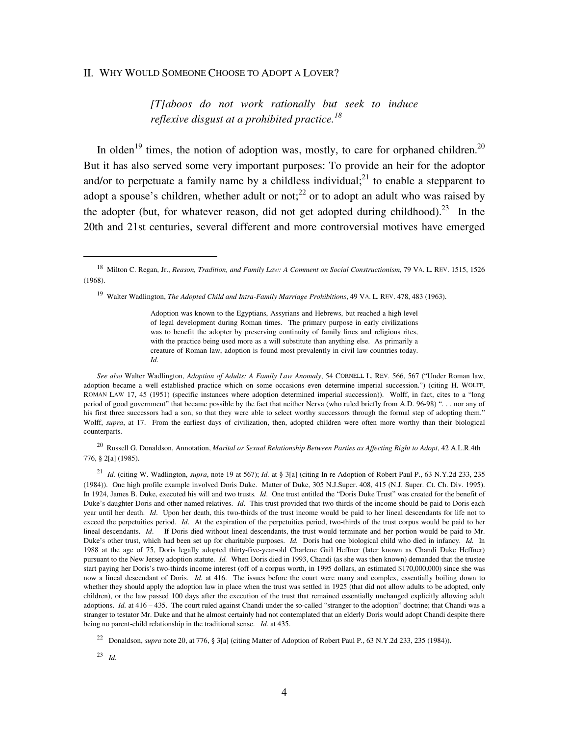#### II. WHY WOULD SOMEONE CHOOSE TO ADOPT A LOVER?

*[T]aboos do not work rationally but seek to induce reflexive disgust at a prohibited practice.<sup>18</sup>*

In olden<sup>19</sup> times, the notion of adoption was, mostly, to care for orphaned children.<sup>20</sup> But it has also served some very important purposes: To provide an heir for the adoptor and/or to perpetuate a family name by a childless individual;<sup>21</sup> to enable a stepparent to adopt a spouse's children, whether adult or not;<sup>22</sup> or to adopt an adult who was raised by the adopter (but, for whatever reason, did not get adopted during childhood).<sup>23</sup> In the 20th and 21st centuries, several different and more controversial motives have emerged

<sup>19</sup> Walter Wadlington, *The Adopted Child and Intra-Family Marriage Prohibitions*, 49 VA. L. REV. 478, 483 (1963).

Adoption was known to the Egyptians, Assyrians and Hebrews, but reached a high level of legal development during Roman times. The primary purpose in early civilizations was to benefit the adopter by preserving continuity of family lines and religious rites, with the practice being used more as a will substitute than anything else. As primarily a creature of Roman law, adoption is found most prevalently in civil law countries today. *Id.*

*See also* Walter Wadlington, *Adoption of Adults: A Family Law Anomaly*, 54 CORNELL L. REV. 566, 567 ("Under Roman law, adoption became a well established practice which on some occasions even determine imperial succession.") (citing H. WOLFF, ROMAN LAW 17, 45 (1951) (specific instances where adoption determined imperial succession)). Wolff, in fact, cites to a "long period of good government" that became possible by the fact that neither Nerva (who ruled briefly from A.D. 96-98) ". . . nor any of his first three successors had a son, so that they were able to select worthy successors through the formal step of adopting them." Wolff, *supra*, at 17. From the earliest days of civilization, then, adopted children were often more worthy than their biological counterparts.

<sup>20</sup> Russell G. Donaldson, Annotation, *Marital or Sexual Relationship Between Parties as Affecting Right to Adopt*, 42 A.L.R.4th 776, § 2[a] (1985).

<sup>21</sup> *Id.* (citing W. Wadlington, *supra*, note 19 at 567); *Id.* at § 3[a] (citing In re Adoption of Robert Paul P., 63 N.Y.2d 233, 235 (1984)). One high profile example involved Doris Duke. Matter of Duke, 305 N.J.Super. 408, 415 (N.J. Super. Ct. Ch. Div. 1995). In 1924, James B. Duke, executed his will and two trusts. *Id*. One trust entitled the "Doris Duke Trust" was created for the benefit of Duke's daughter Doris and other named relatives. *Id*. This trust provided that two-thirds of the income should be paid to Doris each year until her death. *Id*. Upon her death, this two-thirds of the trust income would be paid to her lineal descendants for life not to exceed the perpetuities period. *Id*. At the expiration of the perpetuities period, two-thirds of the trust corpus would be paid to her lineal descendants. *Id*. If Doris died without lineal descendants, the trust would terminate and her portion would be paid to Mr. Duke's other trust, which had been set up for charitable purposes. *Id.* Doris had one biological child who died in infancy. *Id.* In 1988 at the age of 75, Doris legally adopted thirty-five-year-old Charlene Gail Heffner (later known as Chandi Duke Heffner) pursuant to the New Jersey adoption statute. *Id.* When Doris died in 1993, Chandi (as she was then known) demanded that the trustee start paying her Doris's two-thirds income interest (off of a corpus worth, in 1995 dollars, an estimated \$170,000,000) since she was now a lineal descendant of Doris. *Id.* at 416. The issues before the court were many and complex, essentially boiling down to whether they should apply the adoption law in place when the trust was settled in 1925 (that did not allow adults to be adopted, only children), or the law passed 100 days after the execution of the trust that remained essentially unchanged explicitly allowing adult adoptions. *Id.* at 416 – 435. The court ruled against Chandi under the so-called "stranger to the adoption" doctrine; that Chandi was a stranger to testator Mr. Duke and that he almost certainly had not contemplated that an elderly Doris would adopt Chandi despite there being no parent-child relationship in the traditional sense. *Id.* at 435.

23 *Id.* 

-

<sup>18</sup> Milton C. Regan, Jr., *Reason, Tradition, and Family Law: A Comment on Social Constructionism*, 79 VA. L. REV. 1515, 1526 (1968).

<sup>22</sup> Donaldson, *supra* note 20, at 776, § 3[a] (citing Matter of Adoption of Robert Paul P., 63 N.Y.2d 233, 235 (1984)).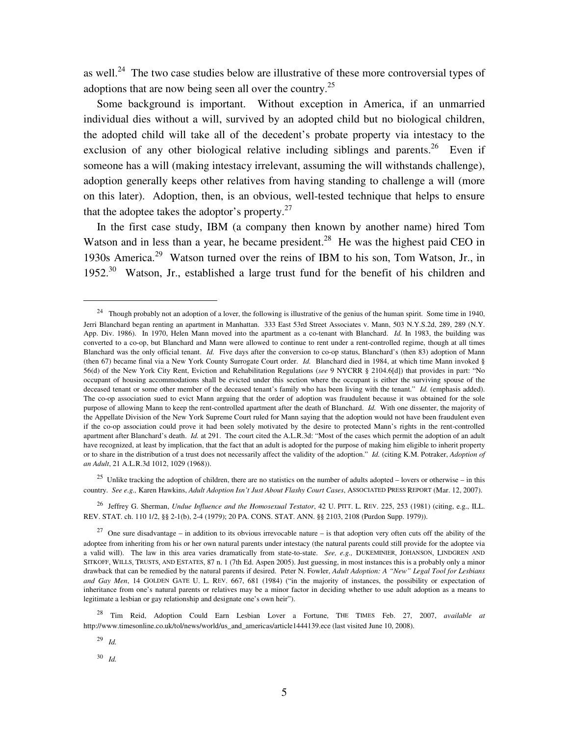as well.<sup>24</sup> The two case studies below are illustrative of these more controversial types of adoptions that are now being seen all over the country.<sup>25</sup>

 Some background is important. Without exception in America, if an unmarried individual dies without a will, survived by an adopted child but no biological children, the adopted child will take all of the decedent's probate property via intestacy to the exclusion of any other biological relative including siblings and parents.<sup>26</sup> Even if someone has a will (making intestacy irrelevant, assuming the will withstands challenge), adoption generally keeps other relatives from having standing to challenge a will (more on this later). Adoption, then, is an obvious, well-tested technique that helps to ensure that the adoptee takes the adoptor's property. $27$ 

 In the first case study, IBM (a company then known by another name) hired Tom Watson and in less than a year, he became president.<sup>28</sup> He was the highest paid CEO in 1930s America.<sup>29</sup> Watson turned over the reins of IBM to his son, Tom Watson, Jr., in 1952.<sup>30</sup> Watson, Jr., established a large trust fund for the benefit of his children and

<sup>25</sup> Unlike tracking the adoption of children, there are no statistics on the number of adults adopted – lovers or otherwise – in this country. *See e.g.,* Karen Hawkins, *Adult Adoption Isn't Just About Flashy Court Cases*, ASSOCIATED PRESS REPORT (Mar. 12, 2007).

<sup>26</sup> Jeffrey G. Sherman, *Undue Influence and the Homosexual Testator*, 42 U. PITT. L. REV. 225, 253 (1981) (citing, e.g., ILL. REV. STAT. ch. 110 1/2, §§ 2-1(b), 2-4 (1979); 20 PA. CONS. STAT. ANN. §§ 2103, 2108 (Purdon Supp. 1979)).

<sup>28</sup> Tim Reid, Adoption Could Earn Lesbian Lover a Fortune, THE TIMES Feb. 27, 2007, *available at*  http://www.timesonline.co.uk/tol/news/world/us\_and\_americas/article1444139.ece (last visited June 10, 2008).

29 *Id.*

-

30 *Id.*

<sup>&</sup>lt;sup>24</sup> Though probably not an adoption of a lover, the following is illustrative of the genius of the human spirit. Some time in 1940, Jerri Blanchard began renting an apartment in Manhattan. 333 East 53rd Street Associates v. Mann, 503 N.Y.S.2d, 289, 289 (N.Y. App. Div. 1986). In 1970, Helen Mann moved into the apartment as a co-tenant with Blanchard. *Id.* In 1983, the building was converted to a co-op, but Blanchard and Mann were allowed to continue to rent under a rent-controlled regime, though at all times Blanchard was the only official tenant. *Id.* Five days after the conversion to co-op status, Blanchard's (then 83) adoption of Mann (then 67) became final via a New York County Surrogate Court order. *Id.* Blanchard died in 1984, at which time Mann invoked § 56(d) of the New York City Rent, Eviction and Rehabilitation Regulations (*see* 9 NYCRR § 2104.6[d]) that provides in part: "No occupant of housing accommodations shall be evicted under this section where the occupant is either the surviving spouse of the deceased tenant or some other member of the deceased tenant's family who has been living with the tenant." *Id.* (emphasis added). The co-op association sued to evict Mann arguing that the order of adoption was fraudulent because it was obtained for the sole purpose of allowing Mann to keep the rent-controlled apartment after the death of Blanchard. *Id.* With one dissenter, the majority of the Appellate Division of the New York Supreme Court ruled for Mann saying that the adoption would not have been fraudulent even if the co-op association could prove it had been solely motivated by the desire to protected Mann's rights in the rent-controlled apartment after Blanchard's death. *Id.* at 291. The court cited the A.L.R.3d: "Most of the cases which permit the adoption of an adult have recognized, at least by implication, that the fact that an adult is adopted for the purpose of making him eligible to inherit property or to share in the distribution of a trust does not necessarily affect the validity of the adoption." *Id.* (citing K.M. Potraker, *Adoption of an Adult*, 21 A.L.R.3d 1012, 1029 (1968)).

<sup>&</sup>lt;sup>27</sup> One sure disadvantage – in addition to its obvious irrevocable nature – is that adoption very often cuts off the ability of the adoptee from inheriting from his or her own natural parents under intestacy (the natural parents could still provide for the adoptee via a valid will). The law in this area varies dramatically from state-to-state. *See, e.g.,* DUKEMINIER, JOHANSON, LINDGREN AND SITKOFF, WILLS, TRUSTS, AND ESTATES, 87 n. 1 (7th Ed. Aspen 2005). Just guessing, in most instances this is a probably only a minor drawback that can be remedied by the natural parents if desired. Peter N. Fowler, *Adult Adoption: A "New" Legal Tool for Lesbians and Gay Men*, 14 GOLDEN GATE U. L. REV. 667, 681 (1984) ("in the majority of instances, the possibility or expectation of inheritance from one's natural parents or relatives may be a minor factor in deciding whether to use adult adoption as a means to legitimate a lesbian or gay relationship and designate one's own heir").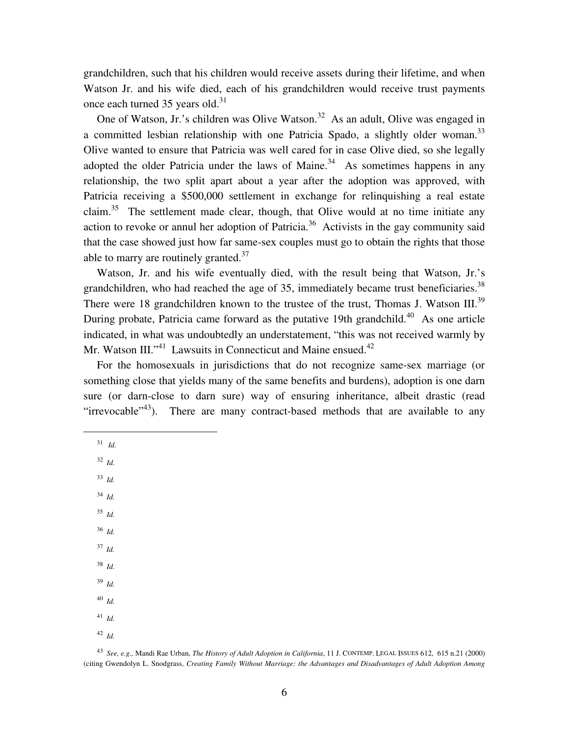grandchildren, such that his children would receive assets during their lifetime, and when Watson Jr. and his wife died, each of his grandchildren would receive trust payments once each turned 35 years old. $31$ 

One of Watson, Jr.'s children was Olive Watson.<sup>32</sup> As an adult, Olive was engaged in a committed lesbian relationship with one Patricia Spado, a slightly older woman.<sup>33</sup> Olive wanted to ensure that Patricia was well cared for in case Olive died, so she legally adopted the older Patricia under the laws of Maine.<sup>34</sup> As sometimes happens in any relationship, the two split apart about a year after the adoption was approved, with Patricia receiving a \$500,000 settlement in exchange for relinquishing a real estate claim.<sup>35</sup> The settlement made clear, though, that Olive would at no time initiate any action to revoke or annul her adoption of Patricia.<sup>36</sup> Activists in the gay community said that the case showed just how far same-sex couples must go to obtain the rights that those able to marry are routinely granted.<sup>37</sup>

 Watson, Jr. and his wife eventually died, with the result being that Watson, Jr.'s grandchildren, who had reached the age of 35, immediately became trust beneficiaries.<sup>38</sup> There were 18 grandchildren known to the trustee of the trust, Thomas J. Watson III.<sup>39</sup> During probate, Patricia came forward as the putative 19th grandchild.<sup>40</sup> As one article indicated, in what was undoubtedly an understatement, "this was not received warmly by Mr. Watson III."<sup>41</sup> Lawsuits in Connecticut and Maine ensued.<sup>42</sup>

 For the homosexuals in jurisdictions that do not recognize same-sex marriage (or something close that yields many of the same benefits and burdens), adoption is one darn sure (or darn-close to darn sure) way of ensuring inheritance, albeit drastic (read "irrevocable"<sup>43</sup>). There are many contract-based methods that are available to any

<sup>31</sup>*Id.*

 $\overline{a}$ 

<sup>32</sup> *Id.*

33 *Id.*

34 *Id.*

35 *Id.*

36 *Id.*

<sup>37</sup>*Id.*

38 *Id.*

39 *Id.* 

40 *Id.*

41 *Id.*

42 *Id.*

43 *See, e.g.,* Mandi Rae Urban, *The History of Adult Adoption in California*, 11 J. CONTEMP. LEGAL ISSUES 612, 615 n.21 (2000) (citing Gwendolyn L. Snodgrass, *Creating Family Without Marriage: the Advantages and Disadvantages of Adult Adoption Among*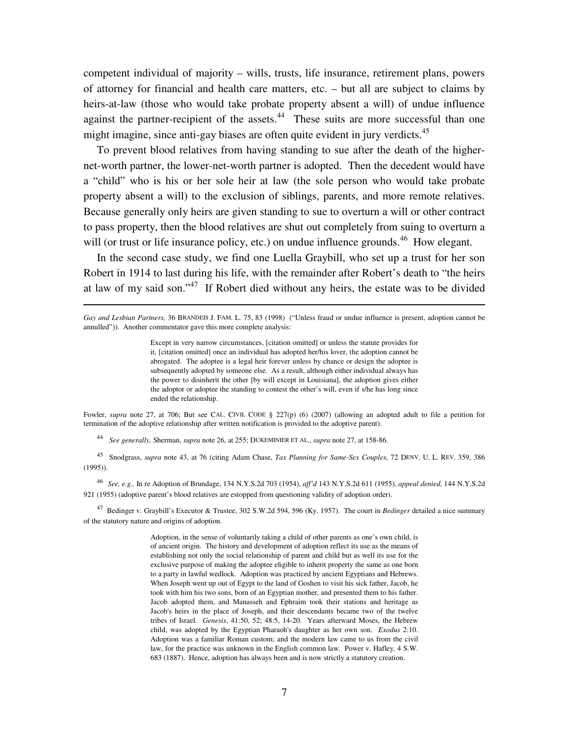competent individual of majority – wills, trusts, life insurance, retirement plans, powers of attorney for financial and health care matters, etc. – but all are subject to claims by heirs-at-law (those who would take probate property absent a will) of undue influence against the partner-recipient of the assets. $44$  These suits are more successful than one might imagine, since anti-gay biases are often quite evident in jury verdicts.<sup>45</sup>

 To prevent blood relatives from having standing to sue after the death of the highernet-worth partner, the lower-net-worth partner is adopted. Then the decedent would have a "child" who is his or her sole heir at law (the sole person who would take probate property absent a will) to the exclusion of siblings, parents, and more remote relatives. Because generally only heirs are given standing to sue to overturn a will or other contract to pass property, then the blood relatives are shut out completely from suing to overturn a will (or trust or life insurance policy, etc.) on undue influence grounds.<sup>46</sup> How elegant.

 In the second case study, we find one Luella Graybill, who set up a trust for her son Robert in 1914 to last during his life, with the remainder after Robert's death to "the heirs at law of my said son."<sup>47</sup> If Robert died without any heirs, the estate was to be divided

Except in very narrow circumstances, [citation omitted] or unless the statute provides for it, [citation omitted] once an individual has adopted her/his lover, the adoption cannot be abrogated. The adoptee is a legal heir forever unless by chance or design the adoptee is subsequently adopted by someone else. As a result, although either individual always has the power to disinherit the other [by will except in Louisiana], the adoption gives either the adoptor or adoptee the standing to contest the other's will, even if s/he has long since ended the relationship.

Fowler, *supra* note 27, at 706; But see CAL. CIVIL CODE § 227(p) (6) (2007) (allowing an adopted adult to file a petition for termination of the adoptive relationship after written notification is provided to the adoptive parent).

44 *See generally,* Sherman, *supra* note 26, at 255; DUKEMINIER ET AL., *supra* note 27, at 158-86.

 $\overline{a}$ 

45 Snodgrass, *supra* note 43, at 76 (citing Adam Chase, *Tax Planning for Same-Sex Couples*, 72 DENV. U. L. REV. 359, 386 (1995)).

46 *See, e.g.,* In re Adoption of Brundage, 134 N.Y.S.2d 703 (1954), *aff'd* 143 N.Y.S.2d 611 (1955), *appeal denied*, 144 N.Y.S.2d 921 (1955) (adoptive parent's blood relatives are estopped from questioning validity of adoption order).

<sup>47</sup> Bedinger v. Graybill's Executor & Trustee, 302 S.W.2d 594, 596 (Ky. 1957). The court in *Bedinger* detailed a nice summary of the statutory nature and origins of adoption.

> Adoption, in the sense of voluntarily taking a child of other parents as one's own child, is of ancient origin. The history and development of adoption reflect its use as the means of establishing not only the social relationship of parent and child but as well its use for the exclusive purpose of making the adoptee eligible to inherit property the same as one born to a party in lawful wedlock. Adoption was practiced by ancient Egyptians and Hebrews. When Joseph went up out of Egypt to the land of Goshen to visit his sick father, Jacob, he took with him his two sons, born of an Egyptian mother, and presented them to his father. Jacob adopted them, and Manasseh and Ephraim took their stations and heritage as Jacob's heirs in the place of Joseph, and their descendants became two of the twelve tribes of Israel. *Genesis*, 41:50, 52; 48:5, 14-20. Years afterward Moses, the Hebrew child, was adopted by the Egyptian Pharaoh's daughter as her own son. *Exodus* 2:10. Adoption was a familiar Roman custom; and the modern law came to us from the civil law, for the practice was unknown in the English common law*.* Power v. Hafley*,* 4 S.W. 683 (1887). Hence, adoption has always been and is now strictly a statutory creation.

*Gay and Lesbian Partners,* 36 BRANDEIS J. FAM. L. 75, 83 (1998) ("Unless fraud or undue influence is present, adoption cannot be annulled")). Another commentator gave this more complete analysis: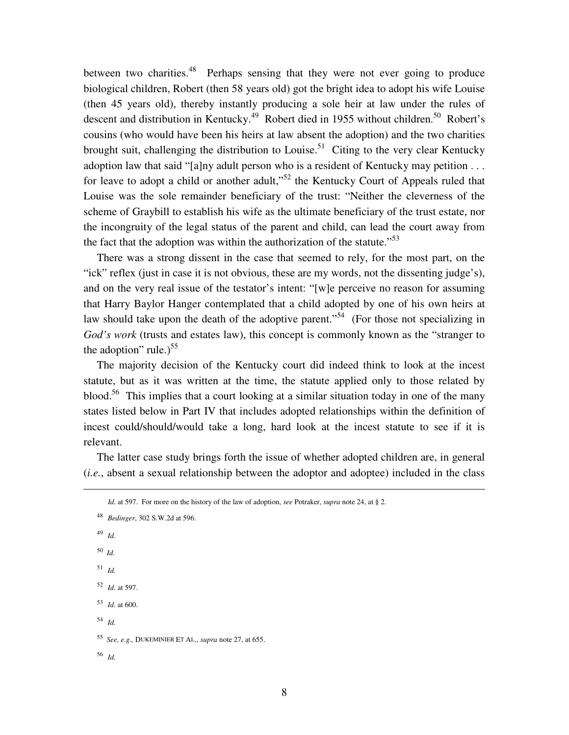between two charities.<sup>48</sup> Perhaps sensing that they were not ever going to produce biological children, Robert (then 58 years old) got the bright idea to adopt his wife Louise (then 45 years old), thereby instantly producing a sole heir at law under the rules of descent and distribution in Kentucky.<sup>49</sup> Robert died in 1955 without children.<sup>50</sup> Robert's cousins (who would have been his heirs at law absent the adoption) and the two charities brought suit, challenging the distribution to Louise.<sup>51</sup> Citing to the very clear Kentucky adoption law that said "[a]ny adult person who is a resident of Kentucky may petition . . . for leave to adopt a child or another adult,"<sup>52</sup> the Kentucky Court of Appeals ruled that Louise was the sole remainder beneficiary of the trust: "Neither the cleverness of the scheme of Graybill to establish his wife as the ultimate beneficiary of the trust estate, nor the incongruity of the legal status of the parent and child, can lead the court away from the fact that the adoption was within the authorization of the statute."<sup>53</sup>

 There was a strong dissent in the case that seemed to rely, for the most part, on the "ick" reflex (just in case it is not obvious, these are my words, not the dissenting judge's), and on the very real issue of the testator's intent: "[w]e perceive no reason for assuming that Harry Baylor Hanger contemplated that a child adopted by one of his own heirs at law should take upon the death of the adoptive parent."<sup>54</sup> (For those not specializing in *God's work* (trusts and estates law), this concept is commonly known as the "stranger to the adoption" rule.) $55$ 

 The majority decision of the Kentucky court did indeed think to look at the incest statute, but as it was written at the time, the statute applied only to those related by blood.<sup>56</sup> This implies that a court looking at a similar situation today in one of the many states listed below in Part IV that includes adopted relationships within the definition of incest could/should/would take a long, hard look at the incest statute to see if it is relevant.

 The latter case study brings forth the issue of whether adopted children are, in general (*i.e.*, absent a sexual relationship between the adoptor and adoptee) included in the class

<u>.</u>

*Id*. at 597. For more on the history of the law of adoption, *see* Potraker, *supra* note 24, at § 2.

<sup>48</sup> *Bedinger*, 302 S.W.2d at 596. 49 *Id.* <sup>50</sup>*Id.* 51 *Id.* 52 *Id.* at 597. 53 *Id*. at 600. 54 *Id.* 55 *See, e.g.,* DUKEMINIER ET AL., *supra* note 27, at 655. 56 *Id.*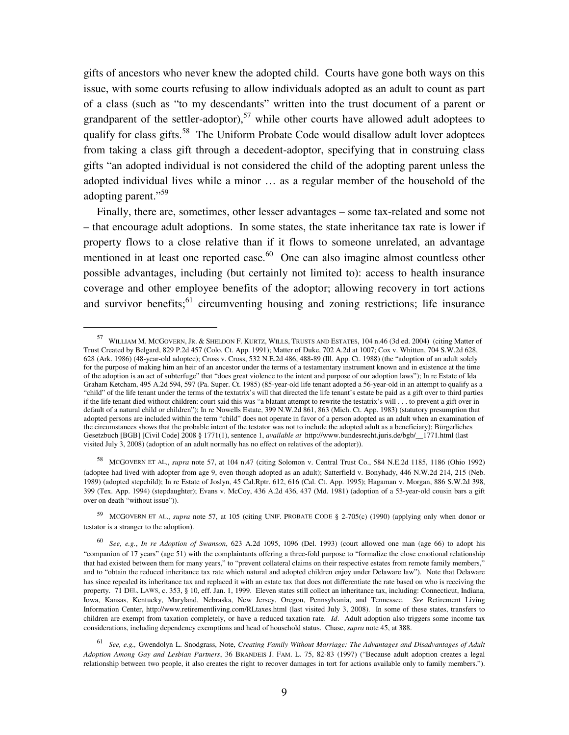gifts of ancestors who never knew the adopted child. Courts have gone both ways on this issue, with some courts refusing to allow individuals adopted as an adult to count as part of a class (such as "to my descendants" written into the trust document of a parent or grandparent of the settler-adoptor),<sup>57</sup> while other courts have allowed adult adoptees to qualify for class gifts.<sup>58</sup> The Uniform Probate Code would disallow adult lover adoptees from taking a class gift through a decedent-adoptor, specifying that in construing class gifts "an adopted individual is not considered the child of the adopting parent unless the adopted individual lives while a minor … as a regular member of the household of the adopting parent."<sup>59</sup>

 Finally, there are, sometimes, other lesser advantages – some tax-related and some not – that encourage adult adoptions. In some states, the state inheritance tax rate is lower if property flows to a close relative than if it flows to someone unrelated, an advantage mentioned in at least one reported case. $60$  One can also imagine almost countless other possible advantages, including (but certainly not limited to): access to health insurance coverage and other employee benefits of the adoptor; allowing recovery in tort actions and survivor benefits;<sup>61</sup> circumventing housing and zoning restrictions; life insurance

 $\overline{a}$ 

<sup>57</sup> WILLIAM M. MCGOVERN, JR. & SHELDON F. KURTZ, WILLS, TRUSTS AND ESTATES, 104 n.46 (3d ed. 2004) (citing Matter of Trust Created by Belgard, 829 P.2d 457 (Colo. Ct. App. 1991); Matter of Duke, 702 A.2d at 1007; Cox v. Whitten, 704 S.W.2d 628, 628 (Ark. 1986) (48-year-old adoptee); Cross v. Cross, 532 N.E.2d 486, 488-89 (Ill. App. Ct. 1988) (the "adoption of an adult solely for the purpose of making him an heir of an ancestor under the terms of a testamentary instrument known and in existence at the time of the adoption is an act of subterfuge" that "does great violence to the intent and purpose of our adoption laws"); In re Estate of Ida Graham Ketcham, 495 A.2d 594, 597 (Pa. Super. Ct. 1985) (85-year-old life tenant adopted a 56-year-old in an attempt to qualify as a "child" of the life tenant under the terms of the textatrix's will that directed the life tenant's estate be paid as a gift over to third parties if the life tenant died without children: court said this was "a blatant attempt to rewrite the testatrix's will . . . to prevent a gift over in default of a natural child or children"); In re Nowells Estate, 399 N.W.2d 861, 863 (Mich. Ct. App. 1983) (statutory presumption that adopted persons are included within the term "child" does not operate in favor of a person adopted as an adult when an examination of the circumstances shows that the probable intent of the testator was not to include the adopted adult as a beneficiary); Bürgerliches Gesetzbuch [BGB] [Civil Code] 2008 § 1771(1), sentence 1, *available at* http://www.bundesrecht.juris.de/bgb/\_\_1771.html (last visited July 3, 2008) (adoption of an adult normally has no effect on relatives of the adopter)).

<sup>58</sup> MCGOVERN ET AL., *supra* note 57, at 104 n.47 (citing Solomon v. Central Trust Co., 584 N.E.2d 1185, 1186 (Ohio 1992) (adoptee had lived with adopter from age 9, even though adopted as an adult); Satterfield v. Bonyhady, 446 N.W.2d 214, 215 (Neb. 1989) (adopted stepchild); In re Estate of Joslyn, 45 Cal.Rptr. 612, 616 (Cal. Ct. App. 1995); Hagaman v. Morgan, 886 S.W.2d 398, 399 (Tex. App. 1994) (stepdaughter); Evans v. McCoy, 436 A.2d 436, 437 (Md. 1981) (adoption of a 53-year-old cousin bars a gift over on death "without issue")).

<sup>59</sup> MCGOVERN ET AL., *supra* note 57, at 105 (citing UNIF. PROBATE CODE § 2-705(c) (1990) (applying only when donor or testator is a stranger to the adoption).

<sup>60</sup> *See, e.g.*, *In re Adoption of Swanson*, 623 A.2d 1095, 1096 (Del. 1993) (court allowed one man (age 66) to adopt his "companion of 17 years" (age 51) with the complaintants offering a three-fold purpose to "formalize the close emotional relationship that had existed between them for many years," to "prevent collateral claims on their respective estates from remote family members," and to "obtain the reduced inheritance tax rate which natural and adopted children enjoy under Delaware law"). Note that Delaware has since repealed its inheritance tax and replaced it with an estate tax that does not differentiate the rate based on who is receiving the property. 71 DEL. LAWS, c. 353, § 10, eff. Jan. 1, 1999. Eleven states still collect an inheritance tax, including: Connecticut, Indiana, Iowa, Kansas, Kentucky, Maryland, Nebraska, New Jersey, Oregon, Pennsylvania, and Tennessee. *See* Retirement Living Information Center, http://www.retirementliving.com/RLtaxes.html (last visited July 3, 2008). In some of these states, transfers to children are exempt from taxation completely, or have a reduced taxation rate. *Id*. Adult adoption also triggers some income tax considerations, including dependency exemptions and head of household status. Chase, *supra* note 45, at 388.

<sup>61</sup> *See, e.g.,* Gwendolyn L. Snodgrass, Note, *Creating Family Without Marriage: The Advantages and Disadvantages of Adult Adoption Among Gay and Lesbian Partners*, 36 BRANDEIS J. FAM. L. 75, 82-83 (1997) ("Because adult adoption creates a legal relationship between two people, it also creates the right to recover damages in tort for actions available only to family members.").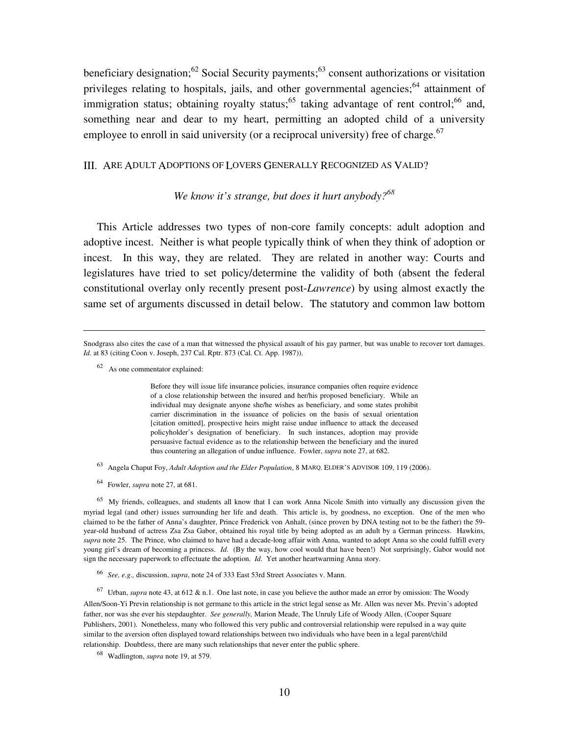beneficiary designation;<sup>62</sup> Social Security payments;<sup>63</sup> consent authorizations or visitation privileges relating to hospitals, jails, and other governmental agencies;  $64$  attainment of immigration status; obtaining royalty status;<sup>65</sup> taking advantage of rent control;<sup>66</sup> and, something near and dear to my heart, permitting an adopted child of a university employee to enroll in said university (or a reciprocal university) free of charge.<sup>67</sup>

#### III. ARE ADULT ADOPTIONS OF LOVERS GENERALLY RECOGNIZED AS VALID?

### *We know it's strange, but does it hurt anybody?<sup>68</sup>*

 This Article addresses two types of non-core family concepts: adult adoption and adoptive incest. Neither is what people typically think of when they think of adoption or incest. In this way, they are related. They are related in another way: Courts and legislatures have tried to set policy/determine the validity of both (absent the federal constitutional overlay only recently present post-*Lawrence*) by using almost exactly the same set of arguments discussed in detail below. The statutory and common law bottom

Snodgrass also cites the case of a man that witnessed the physical assault of his gay partner, but was unable to recover tort damages. *Id.* at 83 (citing Coon v. Joseph, 237 Cal. Rptr. 873 (Cal. Ct. App. 1987)).

<sup>62</sup> As one commentator explained:

-

Before they will issue life insurance policies, insurance companies often require evidence of a close relationship between the insured and her/his proposed beneficiary. While an individual may designate anyone she/he wishes as beneficiary, and some states prohibit carrier discrimination in the issuance of policies on the basis of sexual orientation [citation omitted], prospective heirs might raise undue influence to attack the deceased policyholder's designation of beneficiary. In such instances, adoption may provide persuasive factual evidence as to the relationship between the beneficiary and the inured thus countering an allegation of undue influence. Fowler, *supra* note 27, at 682.

- 63 Angela Chaput Foy, *Adult Adoption and the Elder Population*, 8 MARQ. ELDER'S ADVISOR 109, 119 (2006).
- 64 Fowler, *supra* note 27, at 681.

<sup>65</sup> My friends, colleagues, and students all know that I can work Anna Nicole Smith into virtually any discussion given the myriad legal (and other) issues surrounding her life and death. This article is, by goodness, no exception. One of the men who claimed to be the father of Anna's daughter, Prince Frederick von Anhalt, (since proven by DNA testing not to be the father) the 59 year-old husband of actress Zsa Zsa Gabor, obtained his royal title by being adopted as an adult by a German princess. Hawkins, *supra* note 25. The Prince, who claimed to have had a decade-long affair with Anna, wanted to adopt Anna so she could fulfill every young girl's dream of becoming a princess. *Id.* (By the way, how cool would that have been!) Not surprisingly, Gabor would not sign the necessary paperwork to effectuate the adoption. *Id.* Yet another heartwarming Anna story.

66 *See, e.g.,* discussion, *supra*, note 24 of 333 East 53rd Street Associates v. Mann.

67 Urban, *supra* note 43, at 612 & n.1. One last note, in case you believe the author made an error by omission: The Woody Allen/Soon-Yi Previn relationship is not germane to this article in the strict legal sense as Mr. Allen was never Ms. Previn's adopted father, nor was she ever his stepdaughter. *See generally,* Marion Meade, The Unruly Life of Woody Allen, (Cooper Square Publishers, 2001). Nonetheless, many who followed this very public and controversial relationship were repulsed in a way quite similar to the aversion often displayed toward relationships between two individuals who have been in a legal parent/child relationship. Doubtless, there are many such relationships that never enter the public sphere.

68 Wadlington, *supra* note 19, at 579.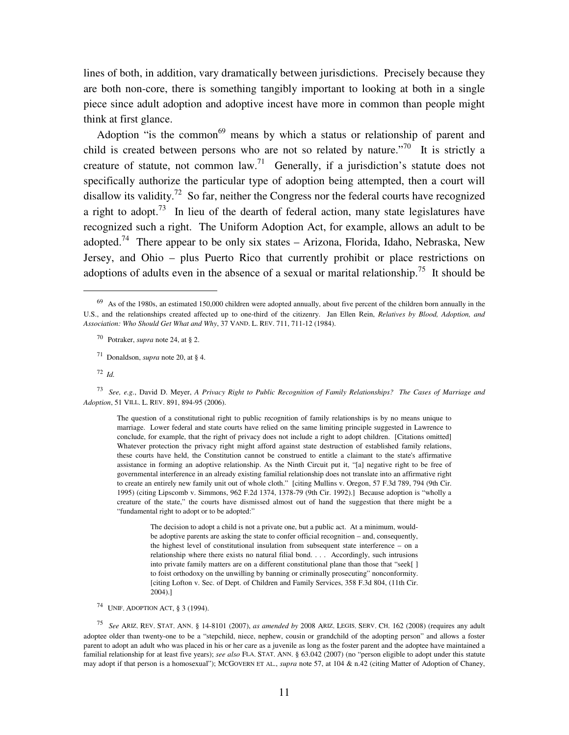lines of both, in addition, vary dramatically between jurisdictions. Precisely because they are both non-core, there is something tangibly important to looking at both in a single piece since adult adoption and adoptive incest have more in common than people might think at first glance.

Adoption "is the common<sup>69</sup> means by which a status or relationship of parent and child is created between persons who are not so related by nature."<sup>70</sup> It is strictly a creature of statute, not common law.<sup>71</sup> Generally, if a jurisdiction's statute does not specifically authorize the particular type of adoption being attempted, then a court will disallow its validity.<sup>72</sup> So far, neither the Congress nor the federal courts have recognized a right to adopt.<sup>73</sup> In lieu of the dearth of federal action, many state legislatures have recognized such a right. The Uniform Adoption Act, for example, allows an adult to be adopted.<sup>74</sup> There appear to be only six states – Arizona, Florida, Idaho, Nebraska, New Jersey, and Ohio – plus Puerto Rico that currently prohibit or place restrictions on adoptions of adults even in the absence of a sexual or marital relationship.<sup>75</sup> It should be

72 *Id.*

 $\overline{a}$ 

73 *See, e.g.*, David D. Meyer, *A Privacy Right to Public Recognition of Family Relationships? The Cases of Marriage and Adoption*, 51 VILL. L. REV. 891, 894-95 (2006).

The question of a constitutional right to public recognition of family relationships is by no means unique to marriage. Lower federal and state courts have relied on the same limiting principle suggested in Lawrence to conclude, for example, that the right of privacy does not include a right to adopt children. [Citations omitted] Whatever protection the privacy right might afford against state destruction of established family relations, these courts have held, the Constitution cannot be construed to entitle a claimant to the state's affirmative assistance in forming an adoptive relationship. As the Ninth Circuit put it, "[a] negative right to be free of governmental interference in an already existing familial relationship does not translate into an affirmative right to create an entirely new family unit out of whole cloth." [citing Mullins v. Oregon, 57 F.3d 789, 794 (9th Cir. 1995) (citing Lipscomb v. Simmons, 962 F.2d 1374, 1378-79 (9th Cir. 1992).] Because adoption is "wholly a creature of the state," the courts have dismissed almost out of hand the suggestion that there might be a "fundamental right to adopt or to be adopted:"

> The decision to adopt a child is not a private one, but a public act. At a minimum, wouldbe adoptive parents are asking the state to confer official recognition – and, consequently, the highest level of constitutional insulation from subsequent state interference – on a relationship where there exists no natural filial bond. . . . Accordingly, such intrusions into private family matters are on a different constitutional plane than those that "seek[ ] to foist orthodoxy on the unwilling by banning or criminally prosecuting" nonconformity. [citing Lofton v. Sec. of Dept. of Children and Family Services, 358 F.3d 804, (11th Cir. 2004).]

74 UNIF. ADOPTION ACT, § 3 (1994).

75 *See* ARIZ. REV. STAT. ANN. § 14-8101 (2007), *as amended by* 2008 ARIZ. LEGIS. SERV. CH. 162 (2008) (requires any adult adoptee older than twenty-one to be a "stepchild, niece, nephew, cousin or grandchild of the adopting person" and allows a foster parent to adopt an adult who was placed in his or her care as a juvenile as long as the foster parent and the adoptee have maintained a familial relationship for at least five years); *see also* FLA. STAT. ANN. § 63.042 (2007) (no "person eligible to adopt under this statute may adopt if that person is a homosexual"); MCGOVERN ET AL., *supra* note 57, at 104 & n.42 (citing Matter of Adoption of Chaney,

 $69$  As of the 1980s, an estimated 150,000 children were adopted annually, about five percent of the children born annually in the U.S., and the relationships created affected up to one-third of the citizenry. Jan Ellen Rein, *Relatives by Blood, Adoption, and Association: Who Should Get What and Why*, 37 VAND. L. REV. 711, 711-12 (1984).

<sup>70</sup> Potraker, *supra* note 24, at § 2.

<sup>71</sup> Donaldson, *supra* note 20, at § 4.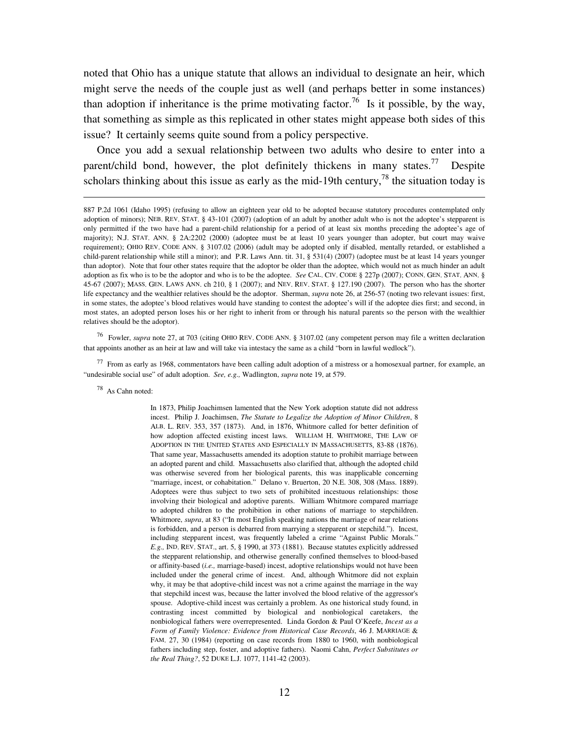noted that Ohio has a unique statute that allows an individual to designate an heir, which might serve the needs of the couple just as well (and perhaps better in some instances) than adoption if inheritance is the prime motivating factor.<sup>76</sup> Is it possible, by the way, that something as simple as this replicated in other states might appease both sides of this issue? It certainly seems quite sound from a policy perspective.

 Once you add a sexual relationship between two adults who desire to enter into a parent/child bond, however, the plot definitely thickens in many states.<sup>77</sup> Despite scholars thinking about this issue as early as the mid-19th century,<sup>78</sup> the situation today is

76 Fowler, *supra* note 27, at 703 (citing OHIO REV. CODE ANN. § 3107.02 (any competent person may file a written declaration that appoints another as an heir at law and will take via intestacy the same as a child "born in lawful wedlock").

 $77$  From as early as 1968, commentators have been calling adult adoption of a mistress or a homosexual partner, for example, an "undesirable social use" of adult adoption. *See, e.g.,* Wadlington, *supra* note 19, at 579.

<sup>78</sup> As Cahn noted:

 $\overline{a}$ 

In 1873, Philip Joachimsen lamented that the New York adoption statute did not address incest. Philip J. Joachimsen, *The Statute to Legalize the Adoption of Minor Children*, 8 ALB. L. REV. 353, 357 (1873). And, in 1876, Whitmore called for better definition of how adoption affected existing incest laws. WILLIAM H. WHITMORE, THE LAW OF ADOPTION IN THE UNITED STATES AND ESPECIALLY IN MASSACHUSETTS, 83-88 (1876). That same year, Massachusetts amended its adoption statute to prohibit marriage between an adopted parent and child. Massachusetts also clarified that, although the adopted child was otherwise severed from her biological parents, this was inapplicable concerning "marriage, incest, or cohabitation." Delano v. Bruerton, 20 N.E. 308, 308 (Mass. 1889). Adoptees were thus subject to two sets of prohibited incestuous relationships: those involving their biological and adoptive parents. William Whitmore compared marriage to adopted children to the prohibition in other nations of marriage to stepchildren. Whitmore, *supra*, at 83 ("In most English speaking nations the marriage of near relations is forbidden, and a person is debarred from marrying a stepparent or stepchild."). Incest, including stepparent incest, was frequently labeled a crime "Against Public Morals." *E.g.,* IND. REV. STAT., art. 5, § 1990, at 373 (1881). Because statutes explicitly addressed the stepparent relationship, and otherwise generally confined themselves to blood-based or affinity-based (*i.e.,* marriage-based) incest, adoptive relationships would not have been included under the general crime of incest. And, although Whitmore did not explain why, it may be that adoptive-child incest was not a crime against the marriage in the way that stepchild incest was, because the latter involved the blood relative of the aggressor's spouse. Adoptive-child incest was certainly a problem. As one historical study found, in contrasting incest committed by biological and nonbiological caretakers, the nonbiological fathers were overrepresented. Linda Gordon & Paul O'Keefe, *Incest as a Form of Family Violence: Evidence from Historical Case Records*, 46 J. MARRIAGE & FAM. 27, 30 (1984) (reporting on case records from 1880 to 1960, with nonbiological fathers including step, foster, and adoptive fathers). Naomi Cahn, *Perfect Substitutes or the Real Thing?*, 52 DUKE L.J. 1077, 1141-42 (2003).

<sup>887</sup> P.2d 1061 (Idaho 1995) (refusing to allow an eighteen year old to be adopted because statutory procedures contemplated only adoption of minors); NEB. REV. STAT. § 43-101 (2007) (adoption of an adult by another adult who is not the adoptee's stepparent is only permitted if the two have had a parent-child relationship for a period of at least six months preceding the adoptee's age of majority); N.J. STAT. ANN. § 2A:2202 (2000) (adoptee must be at least 10 years younger than adopter, but court may waive requirement); OHIO REV. CODE ANN. § 3107.02 (2006) (adult may be adopted only if disabled, mentally retarded, or established a child-parent relationship while still a minor); and P.R. Laws Ann. tit. 31, § 531(4) (2007) (adoptee must be at least 14 years younger than adoptor). Note that four other states require that the adoptor be older than the adoptee, which would not as much hinder an adult adoption as fix who is to be the adoptor and who is to be the adoptee. *See* CAL. CIV. CODE § 227p (2007); CONN. GEN. STAT. ANN. § 45-67 (2007); MASS. GEN. LAWS ANN. ch 210, § 1 (2007); and NEV. REV. STAT. § 127.190 (2007). The person who has the shorter life expectancy and the wealthier relatives should be the adoptor. Sherman, *supra* note 26, at 256-57 (noting two relevant issues: first, in some states, the adoptee's blood relatives would have standing to contest the adoptee's will if the adoptee dies first; and second, in most states, an adopted person loses his or her right to inherit from or through his natural parents so the person with the wealthier relatives should be the adoptor).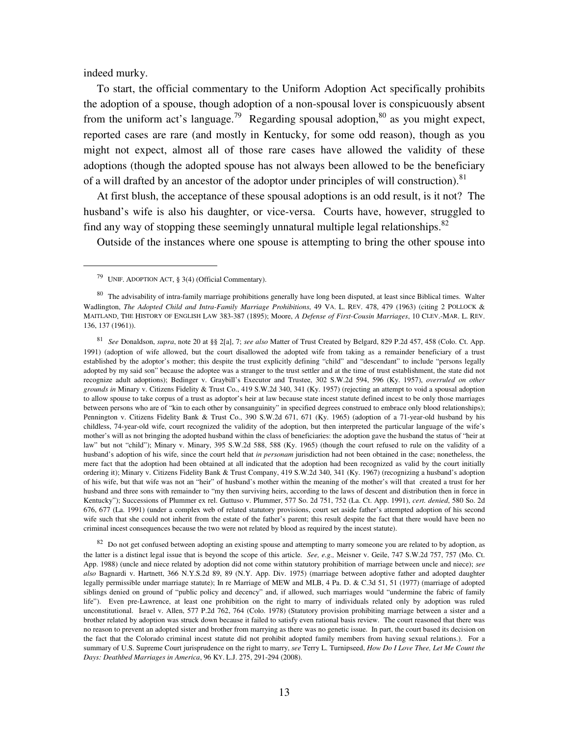indeed murky.

-

 To start, the official commentary to the Uniform Adoption Act specifically prohibits the adoption of a spouse, though adoption of a non-spousal lover is conspicuously absent from the uniform act's language.<sup>79</sup> Regarding spousal adoption,<sup>80</sup> as you might expect, reported cases are rare (and mostly in Kentucky, for some odd reason), though as you might not expect, almost all of those rare cases have allowed the validity of these adoptions (though the adopted spouse has not always been allowed to be the beneficiary of a will drafted by an ancestor of the adoptor under principles of will construction).<sup>81</sup>

 At first blush, the acceptance of these spousal adoptions is an odd result, is it not? The husband's wife is also his daughter, or vice-versa. Courts have, however, struggled to find any way of stopping these seemingly unnatural multiple legal relationships.<sup>82</sup>

Outside of the instances where one spouse is attempting to bring the other spouse into

 $82$  Do not get confused between adopting an existing spouse and attempting to marry someone you are related to by adoption, as the latter is a distinct legal issue that is beyond the scope of this article. *See, e.g.,* Meisner v. Geile, 747 S.W.2d 757, 757 (Mo. Ct. App. 1988) (uncle and niece related by adoption did not come within statutory prohibition of marriage between uncle and niece); *see also* Bagnardi v. Hartnett, 366 N.Y.S.2d 89, 89 (N.Y. App. Div. 1975) (marriage between adoptive father and adopted daughter legally permissible under marriage statute); In re Marriage of MEW and MLB, 4 Pa. D. & C.3d 51, 51 (1977) (marriage of adopted siblings denied on ground of "public policy and decency" and, if allowed, such marriages would "undermine the fabric of family life"). Even pre-Lawrence, at least one prohibition on the right to marry of individuals related only by adoption was ruled unconstitutional. Israel v. Allen, 577 P.2d 762, 764 (Colo. 1978) (Statutory provision prohibiting marriage between a sister and a brother related by adoption was struck down because it failed to satisfy even rational basis review. The court reasoned that there was no reason to prevent an adopted sister and brother from marrying as there was no genetic issue. In part, the court based its decision on the fact that the Colorado criminal incest statute did not prohibit adopted family members from having sexual relations.). For a summary of U.S. Supreme Court jurisprudence on the right to marry, *see* Terry L. Turnipseed, *How Do I Love Thee, Let Me Count the Days: Deathbed Marriages in America*, 96 KY. L.J. 275, 291-294 (2008).

<sup>79</sup> UNIF. ADOPTION ACT, § 3(4) (Official Commentary).

<sup>&</sup>lt;sup>80</sup> The advisability of intra-family marriage prohibitions generally have long been disputed, at least since Biblical times. Walter Wadlington, *The Adopted Child and Intra-Family Marriage Prohibitions*, 49 VA. L. REV. 478, 479 (1963) (citing 2 POLLOCK & MAITLAND, THE HISTORY OF ENGLISH LAW 383-387 (1895); Moore, *A Defense of First-Cousin Marriages*, 10 CLEV.-MAR. L. REV. 136, 137 (1961)).

<sup>81</sup> *See* Donaldson, *supra*, note 20 at §§ 2[a], 7; *see also* Matter of Trust Created by Belgard, 829 P.2d 457, 458 (Colo. Ct. App. 1991) (adoption of wife allowed, but the court disallowed the adopted wife from taking as a remainder beneficiary of a trust established by the adoptor's mother; this despite the trust explicitly defining "child" and "descendant" to include "persons legally adopted by my said son" because the adoptee was a stranger to the trust settler and at the time of trust establishment, the state did not recognize adult adoptions); Bedinger v. Graybill's Executor and Trustee, 302 S.W.2d 594, 596 (Ky. 1957), *overruled on other grounds in* Minary v. Citizens Fidelity & Trust Co., 419 S.W.2d 340, 341 (Ky. 1957) (rejecting an attempt to void a spousal adoption to allow spouse to take corpus of a trust as adoptor's heir at law because state incest statute defined incest to be only those marriages between persons who are of "kin to each other by consanguinity" in specified degrees construed to embrace only blood relationships); Pennington v. Citizens Fidelity Bank & Trust Co., 390 S.W.2d 671, 671 (Ky. 1965) (adoption of a 71-year-old husband by his childless, 74-year-old wife, court recognized the validity of the adoption, but then interpreted the particular language of the wife's mother's will as not bringing the adopted husband within the class of beneficiaries: the adoption gave the husband the status of "heir at law" but not "child"); Minary v. Minary, 395 S.W.2d 588, 588 (Ky. 1965) (though the court refused to rule on the validity of a husband's adoption of his wife, since the court held that *in personam* jurisdiction had not been obtained in the case; nonetheless, the mere fact that the adoption had been obtained at all indicated that the adoption had been recognized as valid by the court initially ordering it); Minary v. Citizens Fidelity Bank & Trust Company, 419 S.W.2d 340, 341 (Ky. 1967) (recognizing a husband's adoption of his wife, but that wife was not an "heir" of husband's mother within the meaning of the mother's will that created a trust for her husband and three sons with remainder to "my then surviving heirs, according to the laws of descent and distribution then in force in Kentucky"); Successions of Plummer ex rel. Guttuso v. Plummer, 577 So. 2d 751, 752 (La. Ct. App. 1991), *cert. denied*, 580 So. 2d 676, 677 (La. 1991) (under a complex web of related statutory provisions, court set aside father's attempted adoption of his second wife such that she could not inherit from the estate of the father's parent; this result despite the fact that there would have been no criminal incest consequences because the two were not related by blood as required by the incest statute).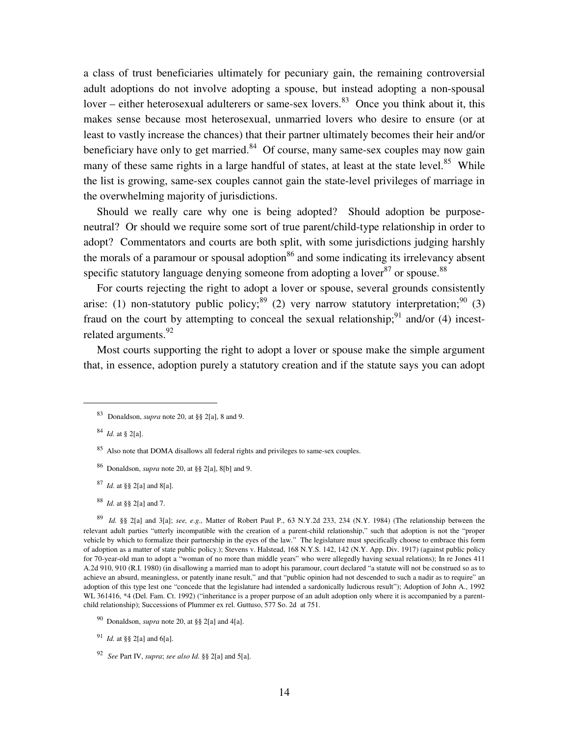a class of trust beneficiaries ultimately for pecuniary gain, the remaining controversial adult adoptions do not involve adopting a spouse, but instead adopting a non-spousal lover – either heterosexual adulterers or same-sex lovers. $83$  Once you think about it, this makes sense because most heterosexual, unmarried lovers who desire to ensure (or at least to vastly increase the chances) that their partner ultimately becomes their heir and/or beneficiary have only to get married. $84$  Of course, many same-sex couples may now gain many of these same rights in a large handful of states, at least at the state level.<sup>85</sup> While the list is growing, same-sex couples cannot gain the state-level privileges of marriage in the overwhelming majority of jurisdictions.

 Should we really care why one is being adopted? Should adoption be purposeneutral? Or should we require some sort of true parent/child-type relationship in order to adopt? Commentators and courts are both split, with some jurisdictions judging harshly the morals of a paramour or spousal adoption<sup>86</sup> and some indicating its irrelevancy absent specific statutory language denying someone from adopting a lover<sup>87</sup> or spouse.<sup>88</sup>

 For courts rejecting the right to adopt a lover or spouse, several grounds consistently arise: (1) non-statutory public policy;<sup>89</sup> (2) very narrow statutory interpretation;<sup>90</sup> (3) fraud on the court by attempting to conceal the sexual relationship; $91$  and/or (4) incestrelated arguments.<sup>92</sup>

 Most courts supporting the right to adopt a lover or spouse make the simple argument that, in essence, adoption purely a statutory creation and if the statute says you can adopt

<u>.</u>

- <sup>86</sup> Donaldson, *supra* note 20, at §§ 2[a], 8[b] and 9.
- 87 *Id.* at §§ 2[a] and 8[a].
- 88 *Id.* at §§ 2[a] and 7.

89 *Id.* §§ 2[a] and 3[a]; *see, e.g.,* Matter of Robert Paul P., 63 N.Y.2d 233, 234 (N.Y. 1984) (The relationship between the relevant adult parties "utterly incompatible with the creation of a parent-child relationship," such that adoption is not the "proper vehicle by which to formalize their partnership in the eyes of the law." The legislature must specifically choose to embrace this form of adoption as a matter of state public policy.); Stevens v. Halstead, 168 N.Y.S. 142, 142 (N.Y. App. Div. 1917) (against public policy for 70-year-old man to adopt a "woman of no more than middle years" who were allegedly having sexual relations); In re Jones 411 A.2d 910, 910 (R.I. 1980) (in disallowing a married man to adopt his paramour, court declared "a statute will not be construed so as to achieve an absurd, meaningless, or patently inane result," and that "public opinion had not descended to such a nadir as to require" an adoption of this type lest one "concede that the legislature had intended a sardonically ludicrous result"); Adoption of John A., 1992 WL 361416, \*4 (Del. Fam. Ct. 1992) ("inheritance is a proper purpose of an adult adoption only where it is accompanied by a parentchild relationship); Successions of Plummer ex rel. Guttuso, 577 So. 2d at 751.

<sup>83</sup> Donaldson, *supra* note 20, at §§ 2[a], 8 and 9.

<sup>84</sup> *Id.* at § 2[a].

<sup>&</sup>lt;sup>85</sup> Also note that DOMA disallows all federal rights and privileges to same-sex couples.

<sup>90</sup> Donaldson, *supra* note 20, at §§ 2[a] and 4[a].

<sup>91</sup> *Id.* at §§ 2[a] and 6[a].

<sup>92</sup> *See* Part IV, *supra*; *see also Id.* §§ 2[a] and 5[a].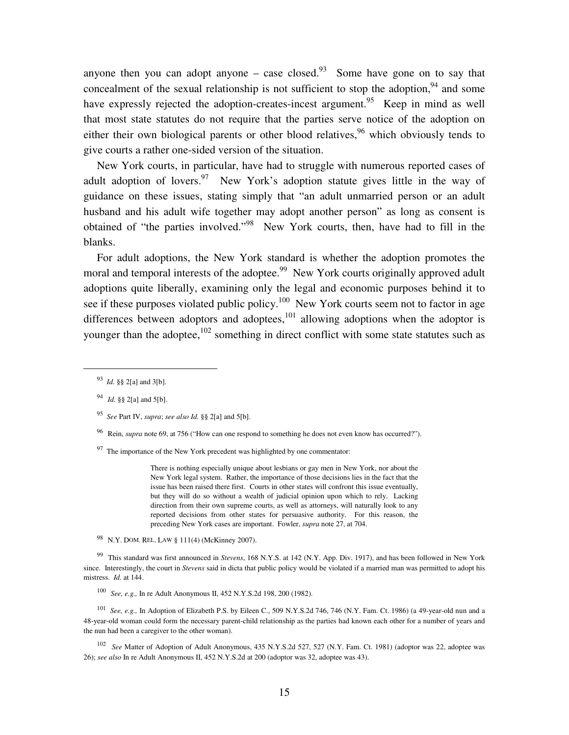anyone then you can adopt anyone – case closed.<sup>93</sup> Some have gone on to say that concealment of the sexual relationship is not sufficient to stop the adoption,  $94$  and some have expressly rejected the adoption-creates-incest argument.<sup>95</sup> Keep in mind as well that most state statutes do not require that the parties serve notice of the adoption on either their own biological parents or other blood relatives,  $96$  which obviously tends to give courts a rather one-sided version of the situation.

 New York courts, in particular, have had to struggle with numerous reported cases of adult adoption of lovers. $97$  New York's adoption statute gives little in the way of guidance on these issues, stating simply that "an adult unmarried person or an adult husband and his adult wife together may adopt another person" as long as consent is obtained of "the parties involved."<sup>98</sup> New York courts, then, have had to fill in the blanks.

 For adult adoptions, the New York standard is whether the adoption promotes the moral and temporal interests of the adoptee.<sup>99</sup> New York courts originally approved adult adoptions quite liberally, examining only the legal and economic purposes behind it to see if these purposes violated public policy.<sup>100</sup> New York courts seem not to factor in age differences between adoptors and adoptees, $101$  allowing adoptions when the adoptor is younger than the adoptee, $102$  something in direct conflict with some state statutes such as

 $\overline{a}$ 

 $97$  The importance of the New York precedent was highlighted by one commentator:

There is nothing especially unique about lesbians or gay men in New York, nor about the New York legal system. Rather, the importance of those decisions lies in the fact that the issue has been raised there first. Courts in other states will confront this issue eventually, but they will do so without a wealth of judicial opinion upon which to rely. Lacking direction from their own supreme courts, as well as attorneys, will naturally look to any reported decisions from other states for persuasive authority. For this reason, the preceding New York cases are important. Fowler, *supra* note 27, at 704.

98 N.Y. DOM. REL. LAW § 111(4) (McKinney 2007).

99 This standard was first announced in *Stevens*, 168 N.Y.S. at 142 (N.Y. App. Div. 1917), and has been followed in New York since. Interestingly, the court in *Stevens* said in dicta that public policy would be violated if a married man was permitted to adopt his mistress. *Id.* at 144.

100 *See, e.g.,* In re Adult Anonymous II, 452 N.Y.S.2d 198, 200 (1982).

<sup>101</sup> See, e.g., In Adoption of Elizabeth P.S. by Eileen C., 509 N.Y.S.2d 746, 746 (N.Y. Fam. Ct. 1986) (a 49-year-old nun and a 48-year-old woman could form the necessary parent-child relationship as the parties had known each other for a number of years and the nun had been a caregiver to the other woman).

102 *See* Matter of Adoption of Adult Anonymous, 435 N.Y.S.2d 527, 527 (N.Y. Fam. Ct. 1981) (adoptor was 22, adoptee was 26); *see also* In re Adult Anonymous II, 452 N.Y.S.2d at 200 (adoptor was 32, adoptee was 43).

<sup>93</sup> *Id.* §§ 2[a] and 3[b].

<sup>94</sup> *Id.* §§ 2[a] and 5[b].

<sup>95</sup> *See* Part IV, *supra*; *see also Id.* §§ 2[a] and 5[b].

<sup>96</sup> Rein, *supra* note 69, at 756 ("How can one respond to something he does not even know has occurred?").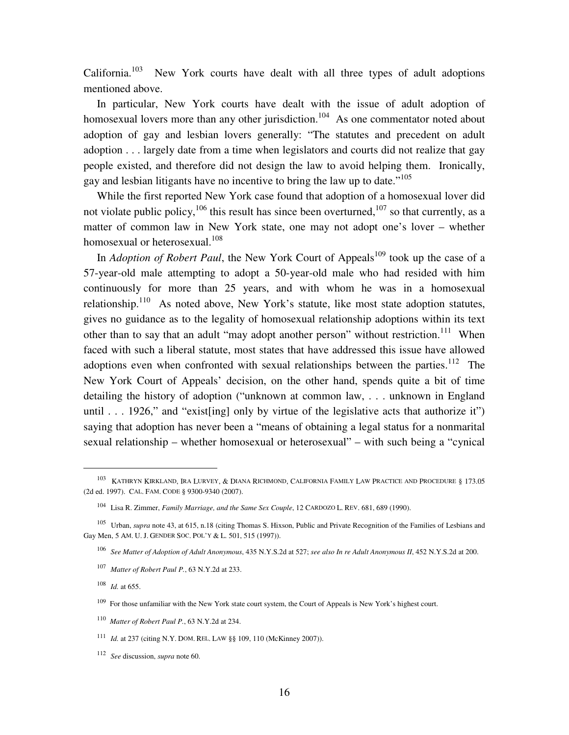California.<sup>103</sup> New York courts have dealt with all three types of adult adoptions mentioned above.

 In particular, New York courts have dealt with the issue of adult adoption of homosexual lovers more than any other jurisdiction.<sup>104</sup> As one commentator noted about adoption of gay and lesbian lovers generally: "The statutes and precedent on adult adoption . . . largely date from a time when legislators and courts did not realize that gay people existed, and therefore did not design the law to avoid helping them. Ironically, gay and lesbian litigants have no incentive to bring the law up to date."<sup>105</sup>

 While the first reported New York case found that adoption of a homosexual lover did not violate public policy,  $106$  this result has since been overturned,  $107$  so that currently, as a matter of common law in New York state, one may not adopt one's lover – whether homosexual or heterosexual.<sup>108</sup>

In *Adoption of Robert Paul*, the New York Court of Appeals<sup>109</sup> took up the case of a 57-year-old male attempting to adopt a 50-year-old male who had resided with him continuously for more than 25 years, and with whom he was in a homosexual relationship.<sup>110</sup> As noted above, New York's statute, like most state adoption statutes, gives no guidance as to the legality of homosexual relationship adoptions within its text other than to say that an adult "may adopt another person" without restriction.<sup>111</sup> When faced with such a liberal statute, most states that have addressed this issue have allowed adoptions even when confronted with sexual relationships between the parties.<sup>112</sup> The New York Court of Appeals' decision, on the other hand, spends quite a bit of time detailing the history of adoption ("unknown at common law, . . . unknown in England until  $\ldots$  1926," and "exist [ing] only by virtue of the legislative acts that authorize it") saying that adoption has never been a "means of obtaining a legal status for a nonmarital sexual relationship – whether homosexual or heterosexual" – with such being a "cynical

 $\overline{a}$ 

112 *See* discussion, *supra* note 60.

<sup>&</sup>lt;sup>103</sup> KATHRYN KIRKLAND, IRA LURVEY, & DIANA RICHMOND, CALIFORNIA FAMILY LAW PRACTICE AND PROCEDURE § 173.05 (2d ed. 1997). CAL. FAM. CODE § 9300-9340 (2007).

<sup>104</sup> Lisa R. Zimmer, *Family Marriage, and the Same Sex Couple*, 12 CARDOZO L. REV. 681, 689 (1990).

<sup>&</sup>lt;sup>105</sup> Urban, *supra* note 43, at 615, n.18 (citing Thomas S. Hixson, Public and Private Recognition of the Families of Lesbians and Gay Men, 5 AM. U. J. GENDER SOC. POL'Y & L. 501, 515 (1997)).

<sup>106</sup> *See Matter of Adoption of Adult Anonymous*, 435 N.Y.S.2d at 527; *see also In re Adult Anonymous II*, 452 N.Y.S.2d at 200.

<sup>107</sup> *Matter of Robert Paul P.*, 63 N.Y.2d at 233.

 $108$  *Id.* at 655.

<sup>&</sup>lt;sup>109</sup> For those unfamiliar with the New York state court system, the Court of Appeals is New York's highest court.

<sup>110</sup>*Matter of Robert Paul P.*, 63 N.Y.2d at 234.

<sup>111</sup> *Id.* at 237 (citing N.Y. DOM. REL. LAW §§ 109, 110 (McKinney 2007)).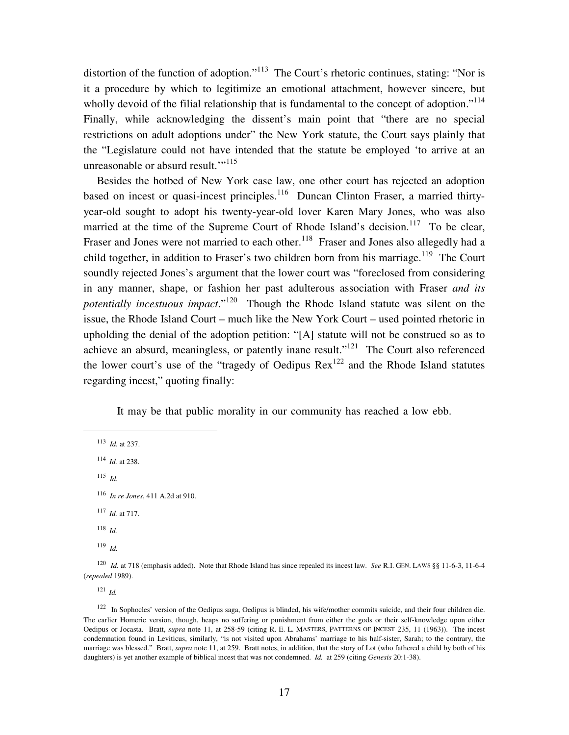distortion of the function of adoption."<sup>113</sup> The Court's rhetoric continues, stating: "Nor is it a procedure by which to legitimize an emotional attachment, however sincere, but wholly devoid of the filial relationship that is fundamental to the concept of adoption."<sup>114</sup> Finally, while acknowledging the dissent's main point that "there are no special restrictions on adult adoptions under" the New York statute, the Court says plainly that the "Legislature could not have intended that the statute be employed 'to arrive at an unreasonable or absurd result."<sup>115</sup>

 Besides the hotbed of New York case law, one other court has rejected an adoption based on incest or quasi-incest principles.<sup>116</sup> Duncan Clinton Fraser, a married thirtyyear-old sought to adopt his twenty-year-old lover Karen Mary Jones, who was also married at the time of the Supreme Court of Rhode Island's decision.<sup>117</sup> To be clear, Fraser and Jones were not married to each other.<sup>118</sup> Fraser and Jones also allegedly had a child together, in addition to Fraser's two children born from his marriage.<sup>119</sup> The Court soundly rejected Jones's argument that the lower court was "foreclosed from considering in any manner, shape, or fashion her past adulterous association with Fraser *and its potentially incestuous impact*."<sup>120</sup> Though the Rhode Island statute was silent on the issue, the Rhode Island Court – much like the New York Court – used pointed rhetoric in upholding the denial of the adoption petition: "[A] statute will not be construed so as to achieve an absurd, meaningless, or patently inane result."<sup>121</sup> The Court also referenced the lower court's use of the "tragedy of Oedipus Rex<sup>122</sup> and the Rhode Island statutes regarding incest," quoting finally:

It may be that public morality in our community has reached a low ebb.

113 *Id.* at 237.

<sup>114</sup>*Id.* at 238.

115 *Id.*

<u>.</u>

<sup>117</sup>*Id.* at 717.

<sup>118</sup>*Id.*

119 *Id.*

120 *Id.* at 718 (emphasis added). Note that Rhode Island has since repealed its incest law. *See* R.I. GEN. LAWS §§ 11-6-3, 11-6-4 (*repealed* 1989).

<sup>121</sup>*Id.*

<sup>122</sup> In Sophocles' version of the Oedipus saga, Oedipus is blinded, his wife/mother commits suicide, and their four children die. The earlier Homeric version, though, heaps no suffering or punishment from either the gods or their self-knowledge upon either Oedipus or Jocasta. Bratt, *supra* note 11, at 258-59 (citing R. E. L. MASTERS, PATTERNS OF INCEST 235, 11 (1963)). The incest condemnation found in Leviticus, similarly, "is not visited upon Abrahams' marriage to his half-sister, Sarah; to the contrary, the marriage was blessed." Bratt, *supra* note 11, at 259. Bratt notes, in addition, that the story of Lot (who fathered a child by both of his daughters) is yet another example of biblical incest that was not condemned. *Id.* at 259 (citing *Genesis* 20:1-38).

<sup>116</sup> *In re Jones*, 411 A.2d at 910.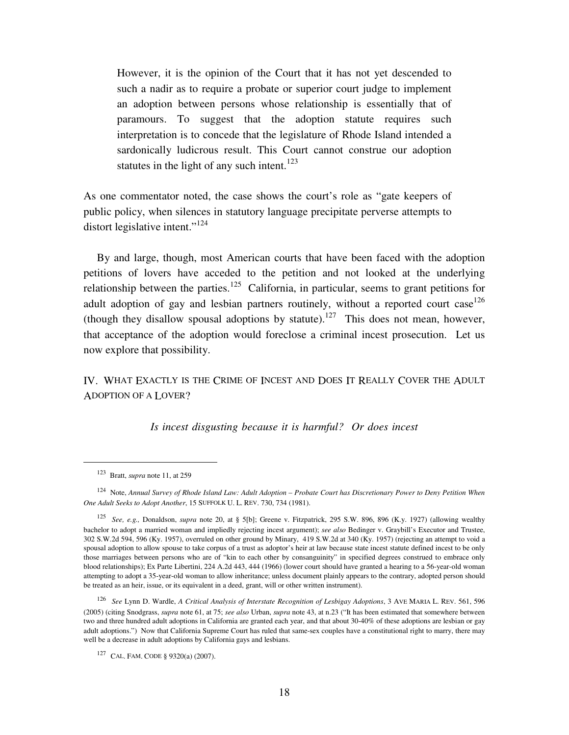However, it is the opinion of the Court that it has not yet descended to such a nadir as to require a probate or superior court judge to implement an adoption between persons whose relationship is essentially that of paramours. To suggest that the adoption statute requires such interpretation is to concede that the legislature of Rhode Island intended a sardonically ludicrous result. This Court cannot construe our adoption statutes in the light of any such intent.<sup>123</sup>

As one commentator noted, the case shows the court's role as "gate keepers of public policy, when silences in statutory language precipitate perverse attempts to distort legislative intent."<sup>124</sup>

 By and large, though, most American courts that have been faced with the adoption petitions of lovers have acceded to the petition and not looked at the underlying relationship between the parties.<sup>125</sup> California, in particular, seems to grant petitions for adult adoption of gay and lesbian partners routinely, without a reported court case<sup>126</sup> (though they disallow spousal adoptions by statute).<sup>127</sup> This does not mean, however, that acceptance of the adoption would foreclose a criminal incest prosecution. Let us now explore that possibility.

IV. WHAT EXACTLY IS THE CRIME OF INCEST AND DOES IT REALLY COVER THE ADULT ADOPTION OF A LOVER?

*Is incest disgusting because it is harmful? Or does incest* 

<u>.</u>

<sup>&</sup>lt;sup>123</sup> Bratt, *supra* note 11, at 259

<sup>&</sup>lt;sup>124</sup> Note, *Annual Survey of Rhode Island Law: Adult Adoption – Probate Court has Discretionary Power to Deny Petition When One Adult Seeks to Adopt Another*, 15 SUFFOLK U. L. REV. 730, 734 (1981).

<sup>125</sup>*See, e.g.,* Donaldson, *supra* note 20, at § 5[b]; Greene v. Fitzpatrick, 295 S.W. 896, 896 (K.y. 1927) (allowing wealthy bachelor to adopt a married woman and impliedly rejecting incest argument); *see also* Bedinger v. Graybill's Executor and Trustee, 302 S.W.2d 594, 596 (Ky. 1957), overruled on other ground by Minary, 419 S.W.2d at 340 (Ky. 1957) (rejecting an attempt to void a spousal adoption to allow spouse to take corpus of a trust as adoptor's heir at law because state incest statute defined incest to be only those marriages between persons who are of "kin to each other by consanguinity" in specified degrees construed to embrace only blood relationships); Ex Parte Libertini, 224 A.2d 443, 444 (1966) (lower court should have granted a hearing to a 56-year-old woman attempting to adopt a 35-year-old woman to allow inheritance; unless document plainly appears to the contrary, adopted person should be treated as an heir, issue, or its equivalent in a deed, grant, will or other written instrument).

<sup>126</sup> *See* Lynn D. Wardle, *A Critical Analysis of Interstate Recognition of Lesbigay Adoptions*, 3 AVE MARIA L. REV. 561, 596 (2005) (citing Snodgrass, *supra* note 61, at 75; *see also* Urban, *supra* note 43, at n.23 ("It has been estimated that somewhere between two and three hundred adult adoptions in California are granted each year, and that about 30-40% of these adoptions are lesbian or gay adult adoptions.") Now that California Supreme Court has ruled that same-sex couples have a constitutional right to marry, there may well be a decrease in adult adoptions by California gays and lesbians.

<sup>127</sup> CAL. FAM. CODE § 9320(a) (2007).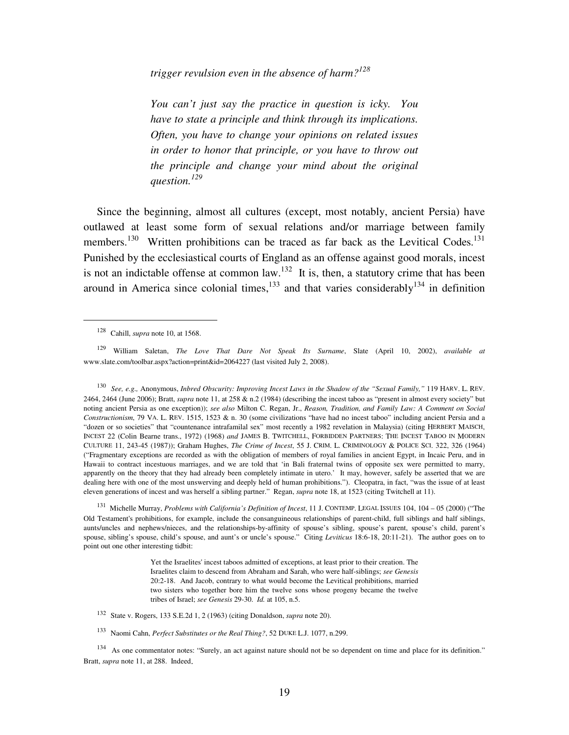*trigger revulsion even in the absence of harm?<sup>128</sup>*

*You can't just say the practice in question is icky. You have to state a principle and think through its implications. Often, you have to change your opinions on related issues in order to honor that principle, or you have to throw out the principle and change your mind about the original question.<sup>129</sup>*

 Since the beginning, almost all cultures (except, most notably, ancient Persia) have outlawed at least some form of sexual relations and/or marriage between family members.<sup>130</sup> Written prohibitions can be traced as far back as the Levitical Codes.<sup>131</sup> Punished by the ecclesiastical courts of England as an offense against good morals, incest is not an indictable offense at common law.<sup>132</sup> It is, then, a statutory crime that has been around in America since colonial times, $133$  and that varies considerably  $134$  in definition

<u>.</u>

130 *See, e.g.,* Anonymous, *Inbred Obscurity: Improving Incest Laws in the Shadow of the "Sexual Family,"* 119 HARV. L. REV. 2464, 2464 (June 2006); Bratt, *supra* note 11, at 258 & n.2 (1984) (describing the incest taboo as "present in almost every society" but noting ancient Persia as one exception)); *see also* Milton C. Regan, Jr., *Reason, Tradition, and Family Law: A Comment on Social Constructionism*, 79 VA. L. REV. 1515, 1523 & n. 30 (some civilizations "have had no incest taboo" including ancient Persia and a "dozen or so societies" that "countenance intrafamilal sex" most recently a 1982 revelation in Malaysia) (citing HERBERT MAISCH, INCEST 22 (Colin Bearne trans., 1972) (1968) *and* JAMES B. TWITCHELL, FORBIDDEN PARTNERS: THE INCEST TABOO IN MODERN CULTURE 11, 243-45 (1987)); Graham Hughes, *The Crime of Incest*, 55 J. CRIM. L. CRIMINOLOGY & POLICE SCI. 322, 326 (1964) ("Fragmentary exceptions are recorded as with the obligation of members of royal families in ancient Egypt, in Incaic Peru, and in Hawaii to contract incestuous marriages, and we are told that 'in Bali fraternal twins of opposite sex were permitted to marry, apparently on the theory that they had already been completely intimate in utero.' It may, however, safely be asserted that we are dealing here with one of the most unswerving and deeply held of human prohibitions."). Cleopatra, in fact, "was the issue of at least eleven generations of incest and was herself a sibling partner." Regan, *supra* note 18, at 1523 (citing Twitchell at 11).

<sup>131</sup> Michelle Murray, *Problems with California's Definition of Incest*, 11 J. CONTEMP. LEGAL ISSUES 104, 104 – 05 (2000) ("The Old Testament's prohibitions, for example, include the consanguineous relationships of parent-child, full siblings and half siblings, aunts/uncles and nephews/nieces, and the relationships-by-affinity of spouse's sibling, spouse's parent, spouse's child, parent's spouse, sibling's spouse, child's spouse, and aunt's or uncle's spouse." Citing *Leviticus* 18:6-18, 20:11-21). The author goes on to point out one other interesting tidbit:

> Yet the Israelites' incest taboos admitted of exceptions, at least prior to their creation. The Israelites claim to descend from Abraham and Sarah, who were half-siblings; *see Genesis* 20:2-18. And Jacob, contrary to what would become the Levitical prohibitions, married two sisters who together bore him the twelve sons whose progeny became the twelve tribes of Israel; *see Genesis* 29-30. *Id.* at 105, n.5.

- 132 State v. Rogers, 133 S.E.2d 1, 2 (1963) (citing Donaldson, *supra* note 20).
- 133 Naomi Cahn, *Perfect Substitutes or the Real Thing?*, 52 DUKE L.J. 1077, n.299.

<sup>134</sup> As one commentator notes: "Surely, an act against nature should not be so dependent on time and place for its definition." Bratt, *supra* note 11, at 288. Indeed.

<sup>128</sup> Cahill, *supra* note 10, at 1568.

<sup>129</sup> William Saletan, *The Love That Dare Not Speak Its Surname*, Slate (April 10, 2002), *available at* www.slate.com/toolbar.aspx?action=print&id=2064227 (last visited July 2, 2008).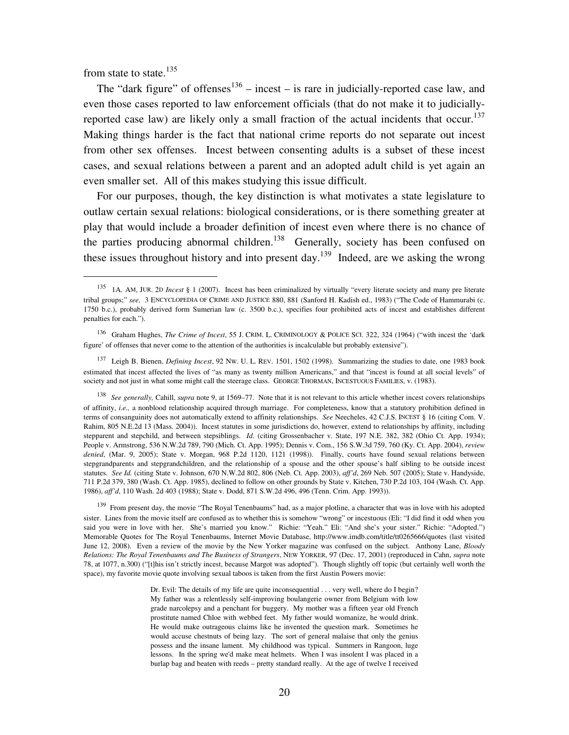from state to state.<sup>135</sup>

 $\overline{a}$ 

The "dark figure" of offenses<sup>136</sup> – incest – is rare in judicially-reported case law, and even those cases reported to law enforcement officials (that do not make it to judiciallyreported case law) are likely only a small fraction of the actual incidents that occur.<sup>137</sup> Making things harder is the fact that national crime reports do not separate out incest from other sex offenses. Incest between consenting adults is a subset of these incest cases, and sexual relations between a parent and an adopted adult child is yet again an even smaller set. All of this makes studying this issue difficult.

 For our purposes, though, the key distinction is what motivates a state legislature to outlaw certain sexual relations: biological considerations, or is there something greater at play that would include a broader definition of incest even where there is no chance of the parties producing abnormal children.<sup>138</sup> Generally, society has been confused on these issues throughout history and into present day.<sup>139</sup> Indeed, are we asking the wrong

<sup>139</sup> From present day, the movie "The Royal Tenenbaums" had, as a major plotline, a character that was in love with his adopted sister. Lines from the movie itself are confused as to whether this is somehow "wrong" or incestuous (Eli: "I did find it odd when you said you were in love with her. She's married you know." Richie: "Yeah." Eli: "And she's your sister." Richie: "Adopted.") Memorable Quotes for The Royal Tenenbaums, Internet Movie Database, http://www.imdb.com/title/tt0265666/quotes (last visited June 12, 2008). Even a review of the movie by the New Yorker magazine was confused on the subject. Anthony Lane, *Bloody Relations: The Royal Tenenbaums and The Business of Strangers*, NEW YORKER, 97 (Dec. 17, 2001) (reproduced in Cahn, *supra* note 78, at 1077, n.300) ("[t]his isn't strictly incest, because Margot was adopted"). Though slightly off topic (but certainly well worth the space), my favorite movie quote involving sexual taboos is taken from the first Austin Powers movie:

> Dr. Evil: The details of my life are quite inconsequential . . . very well, where do I begin? My father was a relentlessly self-improving boulangerie owner from Belgium with low grade narcolepsy and a penchant for buggery. My mother was a fifteen year old French prostitute named Chloe with webbed feet. My father would womanize, he would drink. He would make outrageous claims like he invented the question mark. Sometimes he would accuse chestnuts of being lazy. The sort of general malaise that only the genius possess and the insane lament. My childhood was typical. Summers in Rangoon, luge lessons. In the spring we'd make meat helmets. When I was insolent I was placed in a burlap bag and beaten with reeds – pretty standard really. At the age of twelve I received

<sup>135</sup> 1A. AM, JUR. 2<sup>D</sup> *Incest* § 1 (2007). Incest has been criminalized by virtually "every literate society and many pre literate tribal groups;" *see,* 3 ENCYCLOPEDIA OF CRIME AND JUSTICE 880, 881 (Sanford H. Kadish ed., 1983) ("The Code of Hammurabi (c. 1750 b.c.), probably derived form Sumerian law (c. 3500 b.c.), specifies four prohibited acts of incest and establishes different penalties for each.").

<sup>136</sup> Graham Hughes, *The Crime of Incest*, 55 J. CRIM. L. CRIMINOLOGY & POLICE SCI. 322, 324 (1964) ("with incest the 'dark figure' of offenses that never come to the attention of the authorities is incalculable but probably extensive").

<sup>137</sup> Leigh B. Bienen, *Defining Incest*, 92 NW. U. L. REV. 1501, 1502 (1998). Summarizing the studies to date, one 1983 book estimated that incest affected the lives of "as many as twenty million Americans," and that "incest is found at all social levels" of society and not just in what some might call the steerage class. GEORGE THORMAN, INCESTUOUS FAMILIES, v. (1983).

<sup>138</sup> *See generally,* Cahill, *supra* note 9, at 1569–77. Note that it is not relevant to this article whether incest covers relationships of affinity, *i.e.,* a nonblood relationship acquired through marriage. For completeness, know that a statutory prohibition defined in terms of consanguinity does not automatically extend to affinity relationships. *See* Neecheles, 42 C.J.S. INCEST § 16 (citing Com. V. Rahim, 805 N.E.2d 13 (Mass. 2004)). Incest statutes in some jurisdictions do, however, extend to relationships by affinity, including stepparent and stepchild, and between stepsiblings. *Id.* (citing Grossenbacher v. State, 197 N.E. 382, 382 (Ohio Ct. App. 1934); People v. Armstrong, 536 N.W.2d 789, 790 (Mich. Ct. App. 1995); Dennis v. Com., 156 S.W.3d 759, 760 (Ky. Ct. App. 2004), *review denied*, (Mar. 9, 2005); State v. Morgan, 968 P.2d 1120, 1121 (1998)). Finally, courts have found sexual relations between stepgrandparents and stepgrandchildren, and the relationship of a spouse and the other spouse's half sibling to be outside incest statutes. *See Id.* (citing State v. Johnson, 670 N.W.2d 802, 806 (Neb. Ct. App. 2003), *aff'd*, 269 Neb. 507 (2005); State v. Handyside, 711 P.2d 379, 380 (Wash. Ct. App. 1985), declined to follow on other grounds by State v. Kitchen, 730 P.2d 103, 104 (Wash. Ct. App. 1986), *aff'd*, 110 Wash. 2d 403 (1988); State v. Dodd, 871 S.W.2d 496, 496 (Tenn. Crim. App. 1993)).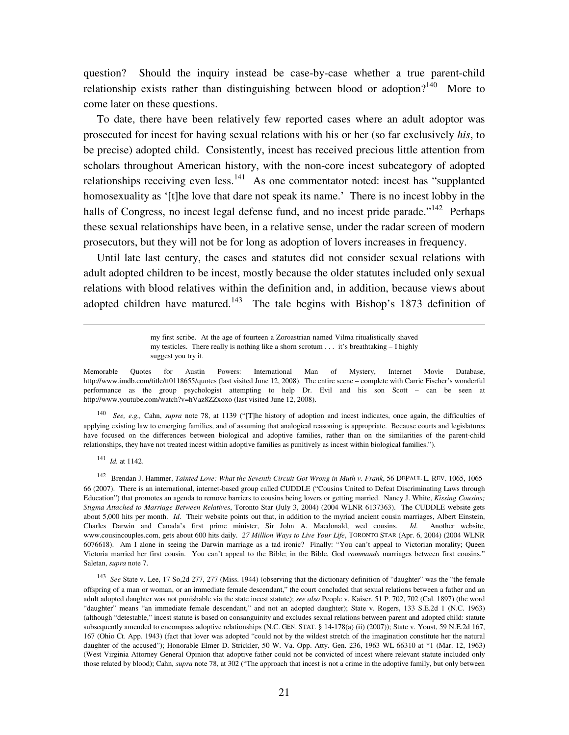question? Should the inquiry instead be case-by-case whether a true parent-child relationship exists rather than distinguishing between blood or adoption?<sup>140</sup> More to come later on these questions.

 To date, there have been relatively few reported cases where an adult adoptor was prosecuted for incest for having sexual relations with his or her (so far exclusively *his*, to be precise) adopted child. Consistently, incest has received precious little attention from scholars throughout American history, with the non-core incest subcategory of adopted relationships receiving even less.<sup>141</sup> As one commentator noted: incest has "supplanted homosexuality as '[t]he love that dare not speak its name.' There is no incest lobby in the halls of Congress, no incest legal defense fund, and no incest pride parade."<sup>142</sup> Perhaps these sexual relationships have been, in a relative sense, under the radar screen of modern prosecutors, but they will not be for long as adoption of lovers increases in frequency.

 Until late last century, the cases and statutes did not consider sexual relations with adult adopted children to be incest, mostly because the older statutes included only sexual relations with blood relatives within the definition and, in addition, because views about adopted children have matured.<sup>143</sup> The tale begins with Bishop's 1873 definition of

> my first scribe. At the age of fourteen a Zoroastrian named Vilma ritualistically shaved my testicles. There really is nothing like a shorn scrotum . . . it's breathtaking – I highly suggest you try it.

Memorable Quotes for Austin Powers: International Man of Mystery, Internet Movie Database, http://www.imdb.com/title/tt0118655/quotes (last visited June 12, 2008). The entire scene – complete with Carrie Fischer's wonderful performance as the group psychologist attempting to help Dr. Evil and his son Scott – can be seen at http://www.youtube.com/watch?v=hVaz8ZZxoxo (last visited June 12, 2008).

140 *See, e.g.,* Cahn, *supra* note 78, at 1139 ("[T]he history of adoption and incest indicates, once again, the difficulties of applying existing law to emerging families, and of assuming that analogical reasoning is appropriate. Because courts and legislatures have focused on the differences between biological and adoptive families, rather than on the similarities of the parent-child relationships, they have not treated incest within adoptive families as punitively as incest within biological families.").

<sup>141</sup>*Id.* at 1142.

<u>.</u>

<sup>142</sup> Brendan J. Hammer, *Tainted Love: What the Seventh Circuit Got Wrong in Muth v. Frank*, 56 DEPAUL L. REV. 1065, 1065-66 (2007). There is an international, internet-based group called CUDDLE ("Cousins United to Defeat Discriminating Laws through Education") that promotes an agenda to remove barriers to cousins being lovers or getting married. Nancy J. White, *Kissing Cousins; Stigma Attached to Marriage Between Relatives*, Toronto Star (July 3, 2004) (2004 WLNR 6137363). The CUDDLE website gets about 5,000 hits per month. *Id*. Their website points out that, in addition to the myriad ancient cousin marriages, Albert Einstein, Charles Darwin and Canada's first prime minister, Sir John A. Macdonald, wed cousins. *Id*. Another website, www.cousincouples.com, gets about 600 hits daily. *27 Million Ways to Live Your Life*, TORONTO STAR (Apr. 6, 2004) (2004 WLNR 6076618). Am I alone in seeing the Darwin marriage as a tad ironic? Finally: "You can't appeal to Victorian morality; Queen Victoria married her first cousin. You can't appeal to the Bible; in the Bible, God *commands* marriages between first cousins." Saletan, *supra* note 7.

<sup>143</sup>*See* State v. Lee, 17 So,2d 277, 277 (Miss. 1944) (observing that the dictionary definition of "daughter" was the "the female offspring of a man or woman, or an immediate female descendant," the court concluded that sexual relations between a father and an adult adopted daughter was not punishable via the state incest statute); *see also* People v. Kaiser, 51 P. 702, 702 (Cal. 1897) (the word "daughter" means "an immediate female descendant," and not an adopted daughter); State v. Rogers, 133 S.E.2d 1 (N.C. 1963) (although "detestable," incest statute is based on consanguinity and excludes sexual relations between parent and adopted child: statute subsequently amended to encompass adoptive relationships (N.C. GEN. STAT. § 14-178(a) (ii) (2007)); State v. Youst, 59 N.E.2d 167, 167 (Ohio Ct. App. 1943) (fact that lover was adopted "could not by the wildest stretch of the imagination constitute her the natural daughter of the accused"); Honorable Elmer D. Strickler, 50 W. Va. Opp. Atty. Gen. 236, 1963 WL 66310 at \*1 (Mar. 12, 1963) (West Virginia Attorney General Opinion that adoptive father could not be convicted of incest where relevant statute included only those related by blood); Cahn, *supra* note 78, at 302 ("The approach that incest is not a crime in the adoptive family, but only between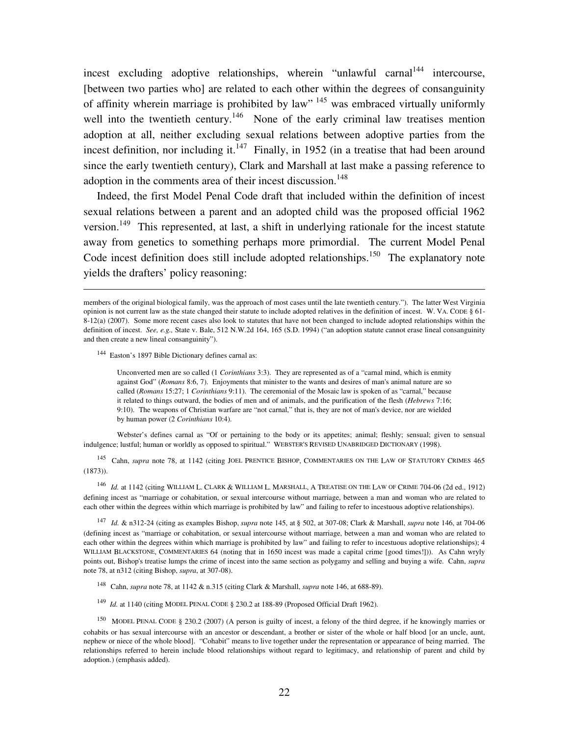incest excluding adoptive relationships, wherein "unlawful carnal<sup>144</sup> intercourse. [between two parties who] are related to each other within the degrees of consanguinity of affinity wherein marriage is prohibited by law"<sup>145</sup> was embraced virtually uniformly well into the twentieth century.<sup>146</sup> None of the early criminal law treatises mention adoption at all, neither excluding sexual relations between adoptive parties from the incest definition, nor including it.<sup>147</sup> Finally, in 1952 (in a treatise that had been around since the early twentieth century), Clark and Marshall at last make a passing reference to adoption in the comments area of their incest discussion.<sup>148</sup>

 Indeed, the first Model Penal Code draft that included within the definition of incest sexual relations between a parent and an adopted child was the proposed official 1962 version.<sup>149</sup> This represented, at last, a shift in underlying rationale for the incest statute away from genetics to something perhaps more primordial. The current Model Penal Code incest definition does still include adopted relationships.<sup>150</sup> The explanatory note yields the drafters' policy reasoning:

<sup>144</sup> Easton's 1897 Bible Dictionary defines carnal as:

 $\overline{a}$ 

Unconverted men are so called (1 *Corinthians* 3:3). They are represented as of a "carnal mind, which is enmity against God" (*Romans* 8:6, 7). Enjoyments that minister to the wants and desires of man's animal nature are so called (*Romans* 15:27; 1 *Corinthians* 9:11). The ceremonial of the Mosaic law is spoken of as "carnal," because it related to things outward, the bodies of men and of animals, and the purification of the flesh (*Hebrews* 7:16; 9:10). The weapons of Christian warfare are "not carnal," that is, they are not of man's device, nor are wielded by human power (2 *Corinthians* 10:4).

 Webster's defines carnal as "Of or pertaining to the body or its appetites; animal; fleshly; sensual; given to sensual indulgence; lustful; human or worldly as opposed to spiritual." WEBSTER'S REVISED UNABRIDGED DICTIONARY (1998).

<sup>145</sup> Cahn, *supra* note 78, at 1142 (citing JOEL PRENTICE BISHOP, COMMENTARIES ON THE LAW OF STATUTORY CRIMES 465  $(1873)$ ).

146 *Id.* at 1142 (citing WILLIAM L. CLARK & WILLIAM L. MARSHALL, A TREATISE ON THE LAW OF CRIME 704-06 (2d ed., 1912) defining incest as "marriage or cohabitation, or sexual intercourse without marriage, between a man and woman who are related to each other within the degrees within which marriage is prohibited by law" and failing to refer to incestuous adoptive relationships).

147 *Id.* & n312-24 (citing as examples Bishop, *supra* note 145, at § 502, at 307-08; Clark & Marshall, *supra* note 146, at 704-06 (defining incest as "marriage or cohabitation, or sexual intercourse without marriage, between a man and woman who are related to each other within the degrees within which marriage is prohibited by law" and failing to refer to incestuous adoptive relationships); 4 WILLIAM BLACKSTONE, COMMENTARIES 64 (noting that in 1650 incest was made a capital crime [good times!])). As Cahn wryly points out, Bishop's treatise lumps the crime of incest into the same section as polygamy and selling and buying a wife. Cahn, *supra* note 78, at n312 (citing Bishop, *supra*, at 307-08).

- 148 Cahn, *supra* note 78, at 1142 & n.315 (citing Clark & Marshall, *supra* note 146, at 688-89).
- <sup>149</sup>*Id.* at 1140 (citing MODEL PENAL CODE § 230.2 at 188-89 (Proposed Official Draft 1962).

<sup>150</sup> MODEL PENAL CODE § 230.2 (2007) (A person is guilty of incest, a felony of the third degree, if he knowingly marries or cohabits or has sexual intercourse with an ancestor or descendant, a brother or sister of the whole or half blood [or an uncle, aunt, nephew or niece of the whole blood]. "Cohabit" means to live together under the representation or appearance of being married. The relationships referred to herein include blood relationships without regard to legitimacy, and relationship of parent and child by adoption.) (emphasis added).

members of the original biological family, was the approach of most cases until the late twentieth century."). The latter West Virginia opinion is not current law as the state changed their statute to include adopted relatives in the definition of incest. W. VA. CODE § 61- 8-12(a) (2007). Some more recent cases also look to statutes that have not been changed to include adopted relationships within the definition of incest. *See, e.g.,* State v. Bale, 512 N.W.2d 164, 165 (S.D. 1994) ("an adoption statute cannot erase lineal consanguinity and then create a new lineal consanguinity").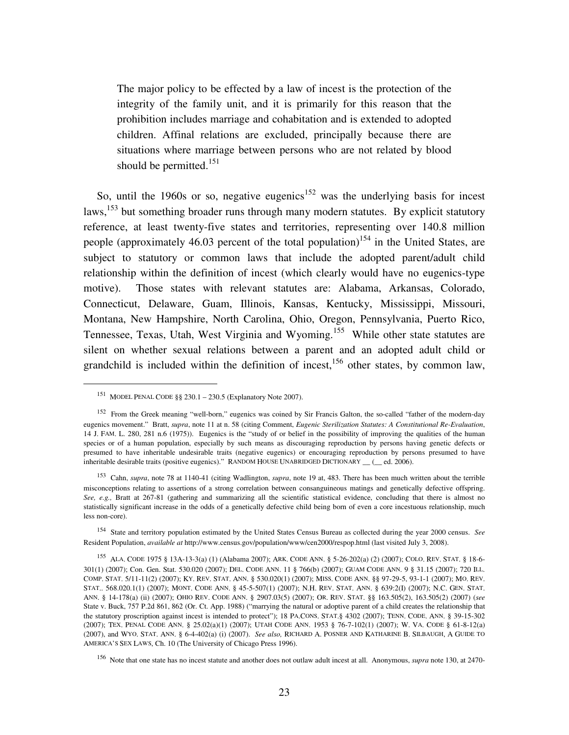The major policy to be effected by a law of incest is the protection of the integrity of the family unit, and it is primarily for this reason that the prohibition includes marriage and cohabitation and is extended to adopted children. Affinal relations are excluded, principally because there are situations where marriage between persons who are not related by blood should be permitted.<sup>151</sup>

So, until the 1960s or so, negative eugenics<sup>152</sup> was the underlying basis for incest laws,  $153$  but something broader runs through many modern statutes. By explicit statutory reference, at least twenty-five states and territories, representing over 140.8 million people (approximately 46.03 percent of the total population)<sup>154</sup> in the United States, are subject to statutory or common laws that include the adopted parent/adult child relationship within the definition of incest (which clearly would have no eugenics-type motive). Those states with relevant statutes are: Alabama, Arkansas, Colorado, Connecticut, Delaware, Guam, Illinois, Kansas, Kentucky, Mississippi, Missouri, Montana, New Hampshire, North Carolina, Ohio, Oregon, Pennsylvania, Puerto Rico, Tennessee, Texas, Utah, West Virginia and Wyoming.<sup>155</sup> While other state statutes are silent on whether sexual relations between a parent and an adopted adult child or grandchild is included within the definition of incest,  $156$  other states, by common law,

 $\overline{a}$ 

<sup>154</sup> State and territory population estimated by the United States Census Bureau as collected during the year 2000 census. *See*  Resident Population, *available at* http://www.census.gov/population/www/cen2000/respop.html (last visited July 3, 2008).

<sup>151</sup> MODEL PENAL CODE §§ 230.1 – 230.5 (Explanatory Note 2007).

<sup>&</sup>lt;sup>152</sup> From the Greek meaning "well-born," eugenics was coined by Sir Francis Galton, the so-called "father of the modern-day eugenics movement." Bratt, *supra*, note 11 at n. 58 (citing Comment, *Eugenic Sterilization Statutes: A Constitutional Re-Evaluation*, 14 J. FAM. L. 280, 281 n.6 (1975)). Eugenics is the "study of or belief in the possibility of improving the qualities of the human species or of a human population, especially by such means as discouraging reproduction by persons having genetic defects or presumed to have inheritable undesirable traits (negative eugenics) or encouraging reproduction by persons presumed to have inheritable desirable traits (positive eugenics)." RANDOM HOUSE UNABRIDGED DICTIONARY \_\_ (\_\_ ed. 2006).

<sup>153</sup> Cahn, *supra*, note 78 at 1140-41 (citing Wadlington, *supra*, note 19 at, 483. There has been much written about the terrible misconceptions relating to assertions of a strong correlation between consanguineous matings and genetically defective offspring. *See, e.g.,* Bratt at 267-81 (gathering and summarizing all the scientific statistical evidence, concluding that there is almost no statistically significant increase in the odds of a genetically defective child being born of even a core incestuous relationship, much less non-core).

<sup>155</sup> ALA. CODE 1975 § 13A-13-3(a) (1) (Alabama 2007); ARK. CODE ANN. § 5-26-202(a) (2) (2007); COLO. REV. STAT. § 18-6- 301(1) (2007); Con. Gen. Stat. 530.020 (2007); DEL. CODE ANN. 11 § 766(b) (2007); GUAM CODE ANN. 9 § 31.15 (2007); 720 ILL. COMP. STAT. 5/11-11(2) (2007); KY. REV. STAT. ANN. § 530.020(1) (2007); MISS. CODE ANN. §§ 97-29-5, 93-1-1 (2007); MO. REV. STAT.. 568.020.1(1) (2007); MONT. CODE ANN. § 45-5-507(1) (2007); N.H. REV. STAT. ANN. § 639:2(I) (2007); N.C. GEN. STAT. ANN. § 14-178(a) (ii) (2007); OHIO REV. CODE ANN. § 2907.03(5) (2007); OR. REV. STAT. §§ 163.505(2), 163.505(2) (2007) (*see* State v. Buck, 757 P.2d 861, 862 (Or. Ct. App. 1988) ("marrying the natural or adoptive parent of a child creates the relationship that the statutory proscription against incest is intended to protect"); 18 PA.CONS. STAT.§ 4302 (2007); TENN. CODE. ANN. § 39-15-302 (2007); TEX. PENAL CODE ANN. § 25.02(a)(1) (2007); UTAH CODE ANN. 1953 § 76-7-102(1) (2007); W. VA. CODE § 61-8-12(a) (2007), and WYO. STAT. ANN. § 6-4-402(a) (i) (2007). *See also,* RICHARD A. POSNER AND KATHARINE B. SILBAUGH, A GUIDE TO AMERICA'S SEX LAWS, Ch. 10 (The University of Chicago Press 1996).

<sup>156</sup> Note that one state has no incest statute and another does not outlaw adult incest at all. Anonymous, *supra* note 130, at 2470-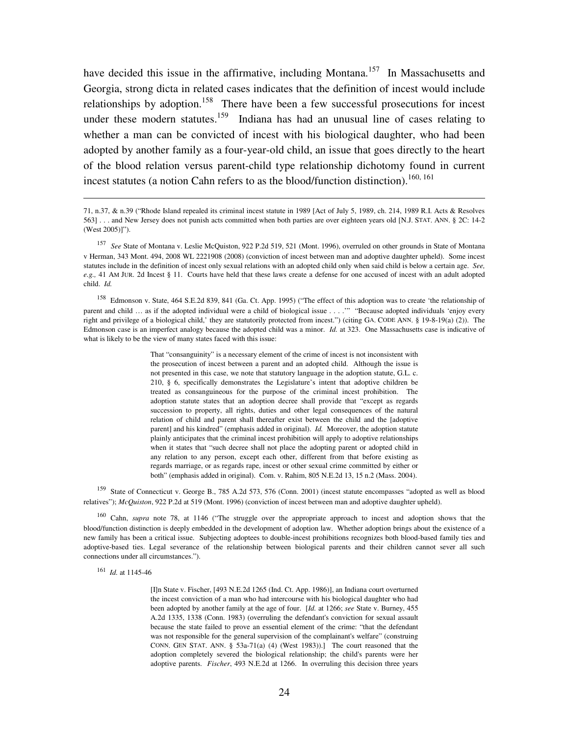have decided this issue in the affirmative, including Montana.<sup>157</sup> In Massachusetts and Georgia, strong dicta in related cases indicates that the definition of incest would include relationships by adoption.<sup>158</sup> There have been a few successful prosecutions for incest under these modern statutes.<sup>159</sup> Indiana has had an unusual line of cases relating to whether a man can be convicted of incest with his biological daughter, who had been adopted by another family as a four-year-old child, an issue that goes directly to the heart of the blood relation versus parent-child type relationship dichotomy found in current incest statutes (a notion Cahn refers to as the blood/function distinction).<sup>160, 161</sup>

<sup>158</sup> Edmonson v. State, 464 S.E.2d 839, 841 (Ga. Ct. App. 1995) ("The effect of this adoption was to create 'the relationship of parent and child … as if the adopted individual were a child of biological issue . . . .'" "Because adopted individuals 'enjoy every right and privilege of a biological child,' they are statutorily protected from incest.") (citing GA. CODE ANN. § 19-8-19(a) (2)). The Edmonson case is an imperfect analogy because the adopted child was a minor. *Id.* at 323. One Massachusetts case is indicative of what is likely to be the view of many states faced with this issue:

> That "consanguinity" is a necessary element of the crime of incest is not inconsistent with the prosecution of incest between a parent and an adopted child. Although the issue is not presented in this case, we note that statutory language in the adoption statute, G.L. c. 210, § 6, specifically demonstrates the Legislature's intent that adoptive children be treated as consanguineous for the purpose of the criminal incest prohibition. The adoption statute states that an adoption decree shall provide that "except as regards succession to property, all rights, duties and other legal consequences of the natural relation of child and parent shall thereafter exist between the child and the [adoptive parent] and his kindred" (emphasis added in original). *Id.* Moreover, the adoption statute plainly anticipates that the criminal incest prohibition will apply to adoptive relationships when it states that "such decree shall not place the adopting parent or adopted child in any relation to any person, except each other, different from that before existing as regards marriage, or as regards rape, incest or other sexual crime committed by either or both" (emphasis added in original). Com. v. Rahim, 805 N.E.2d 13, 15 n.2 (Mass. 2004).

<sup>159</sup> State of Connecticut v. George B., 785 A.2d 573, 576 (Conn. 2001) (incest statute encompasses "adopted as well as blood relatives"); *McQuiston*, 922 P.2d at 519 (Mont. 1996) (conviction of incest between man and adoptive daughter upheld).

<sup>160</sup> Cahn, *supra* note 78, at 1146 ("The struggle over the appropriate approach to incest and adoption shows that the blood/function distinction is deeply embedded in the development of adoption law. Whether adoption brings about the existence of a new family has been a critical issue. Subjecting adoptees to double-incest prohibitions recognizes both blood-based family ties and adoptive-based ties. Legal severance of the relationship between biological parents and their children cannot sever all such connections under all circumstances.").

161 *Id.* at 1145-46

-

[I]n State v. Fischer, [493 N.E.2d 1265 (Ind. Ct. App. 1986)], an Indiana court overturned the incest conviction of a man who had intercourse with his biological daughter who had been adopted by another family at the age of four. [*Id.* at 1266; *see* State v. Burney, 455 A.2d 1335, 1338 (Conn. 1983) (overruling the defendant's conviction for sexual assault because the state failed to prove an essential element of the crime: "that the defendant was not responsible for the general supervision of the complainant's welfare" (construing CONN. GEN STAT. ANN. § 53a-71(a) (4) (West 1983)).] The court reasoned that the adoption completely severed the biological relationship; the child's parents were her adoptive parents. *Fischer*, 493 N.E.2d at 1266. In overruling this decision three years

<sup>71,</sup> n.37, & n.39 ("Rhode Island repealed its criminal incest statute in 1989 [Act of July 5, 1989, ch. 214, 1989 R.I. Acts & Resolves 563] . . . and New Jersey does not punish acts committed when both parties are over eighteen years old [N.J. STAT. ANN. § 2C: 14-2 (West 2005)]").

<sup>157</sup> *See* State of Montana v. Leslie McQuiston, 922 P.2d 519, 521 (Mont. 1996), overruled on other grounds in State of Montana v Herman, 343 Mont. 494, 2008 WL 2221908 (2008) (conviction of incest between man and adoptive daughter upheld). Some incest statutes include in the definition of incest only sexual relations with an adopted child only when said child is below a certain age. *See, e.g.,* 41 AM JUR. 2d Incest § 11. Courts have held that these laws create a defense for one accused of incest with an adult adopted child. *Id.*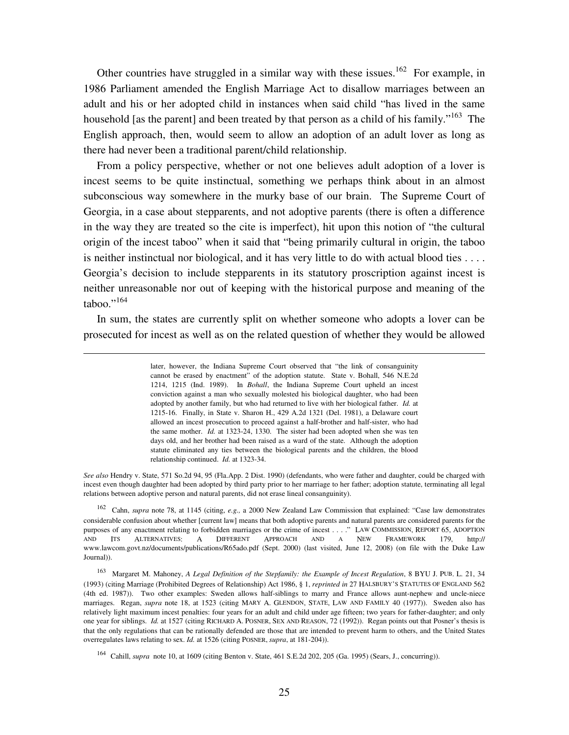Other countries have struggled in a similar way with these issues.<sup>162</sup> For example, in 1986 Parliament amended the English Marriage Act to disallow marriages between an adult and his or her adopted child in instances when said child "has lived in the same household [as the parent] and been treated by that person as a child of his family."<sup>163</sup> The English approach, then, would seem to allow an adoption of an adult lover as long as there had never been a traditional parent/child relationship.

 From a policy perspective, whether or not one believes adult adoption of a lover is incest seems to be quite instinctual, something we perhaps think about in an almost subconscious way somewhere in the murky base of our brain. The Supreme Court of Georgia, in a case about stepparents, and not adoptive parents (there is often a difference in the way they are treated so the cite is imperfect), hit upon this notion of "the cultural origin of the incest taboo" when it said that "being primarily cultural in origin, the taboo is neither instinctual nor biological, and it has very little to do with actual blood ties  $\dots$ . Georgia's decision to include stepparents in its statutory proscription against incest is neither unreasonable nor out of keeping with the historical purpose and meaning of the  $taboo.$ "<sup>164</sup>

 In sum, the states are currently split on whether someone who adopts a lover can be prosecuted for incest as well as on the related question of whether they would be allowed

<u>.</u>

later, however, the Indiana Supreme Court observed that "the link of consanguinity cannot be erased by enactment" of the adoption statute. State v. Bohall, 546 N.E.2d 1214, 1215 (Ind. 1989). In *Bohall*, the Indiana Supreme Court upheld an incest conviction against a man who sexually molested his biological daughter, who had been adopted by another family, but who had returned to live with her biological father. *Id.* at 1215-16. Finally, in State v. Sharon H., 429 A.2d 1321 (Del. 1981), a Delaware court allowed an incest prosecution to proceed against a half-brother and half-sister, who had the same mother. *Id.* at 1323-24, 1330. The sister had been adopted when she was ten days old, and her brother had been raised as a ward of the state. Although the adoption statute eliminated any ties between the biological parents and the children, the blood relationship continued. *Id.* at 1323-34.

*See also* Hendry v. State, 571 So.2d 94, 95 (Fla.App. 2 Dist. 1990) (defendants, who were father and daughter, could be charged with incest even though daughter had been adopted by third party prior to her marriage to her father; adoption statute, terminating all legal relations between adoptive person and natural parents, did not erase lineal consanguinity).

162 Cahn, *supra* note 78, at 1145 (citing, *e.g.,* a 2000 New Zealand Law Commission that explained: "Case law demonstrates considerable confusion about whether [current law] means that both adoptive parents and natural parents are considered parents for the purposes of any enactment relating to forbidden marriages or the crime of incest . . . ." LAW COMMISSION, REPORT 65, ADOPTION AND ITS ALTERNATIVES: A DIFFERENT APPROACH AND A NEW FRAMEWORK 179, http:// www.lawcom.govt.nz/documents/publications/R65ado.pdf (Sept. 2000) (last visited, June 12, 2008) (on file with the Duke Law Journal)).

163 Margaret M. Mahoney, *A Legal Definition of the Stepfamily: the Example of Incest Regulation*, 8 BYU J. PUB. L. 21, 34 (1993) (citing Marriage (Prohibited Degrees of Relationship) Act 1986, § 1, *reprinted in* 27 HALSBURY'S STATUTES OF ENGLAND 562 (4th ed. 1987)). Two other examples: Sweden allows half-siblings to marry and France allows aunt-nephew and uncle-niece marriages. Regan, *supra* note 18, at 1523 (citing MARY A. GLENDON, STATE, LAW AND FAMILY 40 (1977)). Sweden also has relatively light maximum incest penalties: four years for an adult and child under age fifteen; two years for father-daughter; and only one year for siblings. *Id.* at 1527 (citing RICHARD A. POSNER, SEX AND REASON, 72 (1992)). Regan points out that Posner's thesis is that the only regulations that can be rationally defended are those that are intended to prevent harm to others, and the United States overregulates laws relating to sex. *Id.* at 1526 (citing POSNER, *supra*, at 181-204)).

164 Cahill, *supra* note 10, at 1609 (citing Benton v. State, 461 S.E.2d 202, 205 (Ga. 1995) (Sears, J., concurring)).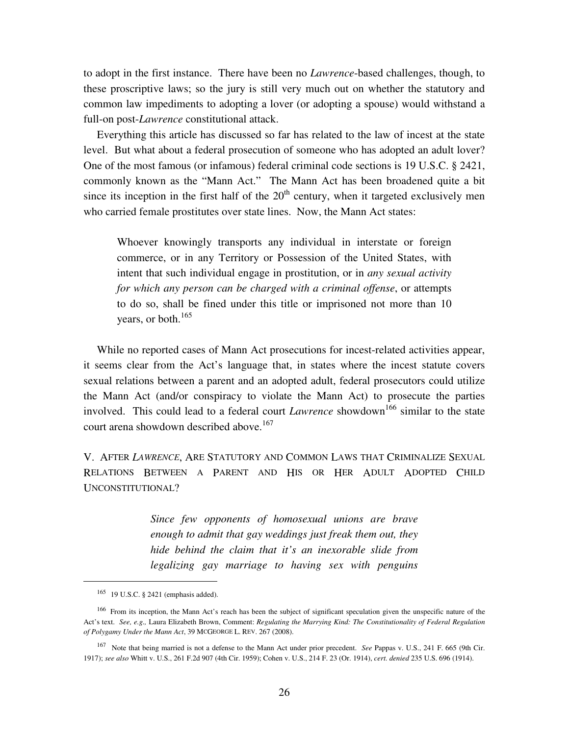to adopt in the first instance. There have been no *Lawrence*-based challenges, though, to these proscriptive laws; so the jury is still very much out on whether the statutory and common law impediments to adopting a lover (or adopting a spouse) would withstand a full-on post-*Lawrence* constitutional attack.

 Everything this article has discussed so far has related to the law of incest at the state level. But what about a federal prosecution of someone who has adopted an adult lover? One of the most famous (or infamous) federal criminal code sections is 19 U.S.C. § 2421, commonly known as the "Mann Act." The Mann Act has been broadened quite a bit since its inception in the first half of the  $20<sup>th</sup>$  century, when it targeted exclusively men who carried female prostitutes over state lines. Now, the Mann Act states:

Whoever knowingly transports any individual in interstate or foreign commerce, or in any Territory or Possession of the United States, with intent that such individual engage in prostitution, or in *any sexual activity for which any person can be charged with a criminal offense*, or attempts to do so, shall be fined under this title or imprisoned not more than 10 years, or both. $165$ 

 While no reported cases of Mann Act prosecutions for incest-related activities appear, it seems clear from the Act's language that, in states where the incest statute covers sexual relations between a parent and an adopted adult, federal prosecutors could utilize the Mann Act (and/or conspiracy to violate the Mann Act) to prosecute the parties involved. This could lead to a federal court *Lawrence* showdown<sup>166</sup> similar to the state court arena showdown described above.<sup>167</sup>

V. AFTER *LAWRENCE*, ARE STATUTORY AND COMMON LAWS THAT CRIMINALIZE SEXUAL RELATIONS BETWEEN A PARENT AND HIS OR HER ADULT ADOPTED CHILD UNCONSTITUTIONAL?

> *Since few opponents of homosexual unions are brave enough to admit that gay weddings just freak them out, they hide behind the claim that it's an inexorable slide from legalizing gay marriage to having sex with penguins*

 $\overline{a}$ 

<sup>165</sup> 19 U.S.C. § 2421 (emphasis added).

<sup>&</sup>lt;sup>166</sup> From its inception, the Mann Act's reach has been the subject of significant speculation given the unspecific nature of the Act's text. *See, e.g.,* Laura Elizabeth Brown, Comment: *Regulating the Marrying Kind: The Constitutionality of Federal Regulation of Polygamy Under the Mann Act*, 39 MCGEORGE L. REV. 267 (2008).

<sup>167</sup> Note that being married is not a defense to the Mann Act under prior precedent. *See* Pappas v. U.S., 241 F. 665 (9th Cir. 1917); *see also* Whitt v. U.S., 261 F.2d 907 (4th Cir. 1959); Cohen v. U.S., 214 F. 23 (Or. 1914), *cert. denied* 235 U.S. 696 (1914).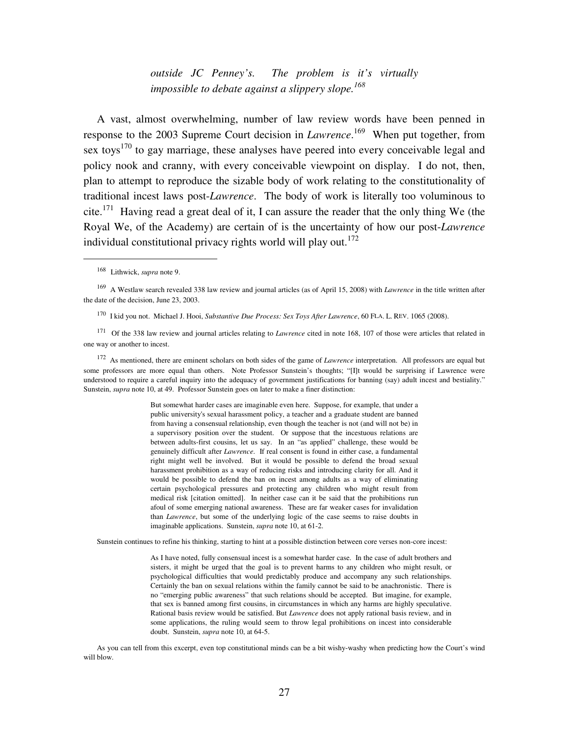*outside JC Penney's. The problem is it's virtually impossible to debate against a slippery slope.<sup>168</sup>* 

 A vast, almost overwhelming, number of law review words have been penned in response to the 2003 Supreme Court decision in *Lawrence*. <sup>169</sup> When put together, from sex toys<sup>170</sup> to gay marriage, these analyses have peered into every conceivable legal and policy nook and cranny, with every conceivable viewpoint on display. I do not, then, plan to attempt to reproduce the sizable body of work relating to the constitutionality of traditional incest laws post-*Lawrence*. The body of work is literally too voluminous to cite.<sup>171</sup> Having read a great deal of it, I can assure the reader that the only thing We (the Royal We, of the Academy) are certain of is the uncertainty of how our post-*Lawrence* individual constitutional privacy rights world will play out.<sup>172</sup>

 $\overline{a}$ 

<sup>172</sup> As mentioned, there are eminent scholars on both sides of the game of *Lawrence* interpretation. All professors are equal but some professors are more equal than others. Note Professor Sunstein's thoughts; "[I]t would be surprising if Lawrence were understood to require a careful inquiry into the adequacy of government justifications for banning (say) adult incest and bestiality." Sunstein, *supra* note 10, at 49. Professor Sunstein goes on later to make a finer distinction:

> But somewhat harder cases are imaginable even here. Suppose, for example, that under a public university's sexual harassment policy, a teacher and a graduate student are banned from having a consensual relationship, even though the teacher is not (and will not be) in a supervisory position over the student. Or suppose that the incestuous relations are between adults-first cousins, let us say. In an "as applied" challenge, these would be genuinely difficult after *Lawrence*. If real consent is found in either case, a fundamental right might well be involved. But it would be possible to defend the broad sexual harassment prohibition as a way of reducing risks and introducing clarity for all. And it would be possible to defend the ban on incest among adults as a way of eliminating certain psychological pressures and protecting any children who might result from medical risk [citation omitted]. In neither case can it be said that the prohibitions run afoul of some emerging national awareness. These are far weaker cases for invalidation than *Lawrence*, but some of the underlying logic of the case seems to raise doubts in imaginable applications. Sunstein, *supra* note 10, at 61-2.

Sunstein continues to refine his thinking, starting to hint at a possible distinction between core verses non-core incest:

As I have noted, fully consensual incest is a somewhat harder case. In the case of adult brothers and sisters, it might be urged that the goal is to prevent harms to any children who might result, or psychological difficulties that would predictably produce and accompany any such relationships. Certainly the ban on sexual relations within the family cannot be said to be anachronistic. There is no "emerging public awareness" that such relations should be accepted. But imagine, for example, that sex is banned among first cousins, in circumstances in which any harms are highly speculative. Rational basis review would be satisfied. But *Lawrence* does not apply rational basis review, and in some applications, the ruling would seem to throw legal prohibitions on incest into considerable doubt. Sunstein, *supra* note 10, at 64-5.

As you can tell from this excerpt, even top constitutional minds can be a bit wishy-washy when predicting how the Court's wind will blow.

<sup>168</sup> Lithwick, *supra* note 9.

<sup>169</sup>A Westlaw search revealed 338 law review and journal articles (as of April 15, 2008) with *Lawrence* in the title written after the date of the decision, June 23, 2003.

<sup>170</sup>I kid you not. Michael J. Hooi, *Substantive Due Process: Sex Toys After Lawrence*, 60 FLA. L. REV. 1065 (2008).

<sup>&</sup>lt;sup>171</sup> Of the 338 law review and journal articles relating to *Lawrence* cited in note 168, 107 of those were articles that related in one way or another to incest.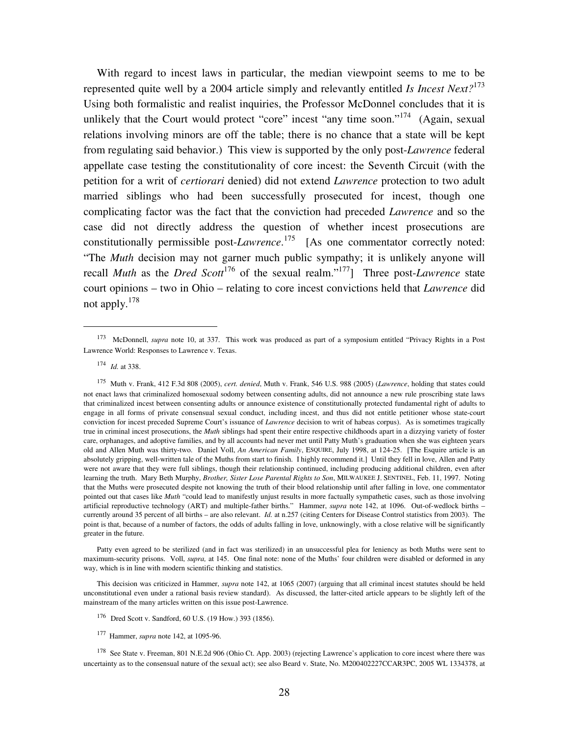With regard to incest laws in particular, the median viewpoint seems to me to be represented quite well by a 2004 article simply and relevantly entitled *Is Incest Next?*<sup>173</sup> Using both formalistic and realist inquiries, the Professor McDonnel concludes that it is unlikely that the Court would protect "core" incest "any time soon."<sup>174</sup> (Again, sexual relations involving minors are off the table; there is no chance that a state will be kept from regulating said behavior.) This view is supported by the only post-*Lawrence* federal appellate case testing the constitutionality of core incest: the Seventh Circuit (with the petition for a writ of *certiorari* denied) did not extend *Lawrence* protection to two adult married siblings who had been successfully prosecuted for incest, though one complicating factor was the fact that the conviction had preceded *Lawrence* and so the case did not directly address the question of whether incest prosecutions are constitutionally permissible post-*Lawrence*. <sup>175</sup> [As one commentator correctly noted: "The *Muth* decision may not garner much public sympathy; it is unlikely anyone will recall *Muth* as the *Dred Scott*<sup>176</sup> of the sexual realm."<sup>177</sup>] Three post-*Lawrence* state court opinions – two in Ohio – relating to core incest convictions held that *Lawrence* did not apply.<sup>178</sup>

 $\overline{a}$ 

Patty even agreed to be sterilized (and in fact was sterilized) in an unsuccessful plea for leniency as both Muths were sent to maximum-security prisons. Voll, *supra,* at 145. One final note: none of the Muths' four children were disabled or deformed in any way, which is in line with modern scientific thinking and statistics.

This decision was criticized in Hammer, *supra* note 142, at 1065 (2007) (arguing that all criminal incest statutes should be held unconstitutional even under a rational basis review standard). As discussed, the latter-cited article appears to be slightly left of the mainstream of the many articles written on this issue post-Lawrence.

<sup>&</sup>lt;sup>173</sup> McDonnell, *supra* note 10, at 337. This work was produced as part of a symposium entitled "Privacy Rights in a Post Lawrence World: Responses to Lawrence v. Texas.

<sup>174</sup> *Id.* at 338.

<sup>175</sup> Muth v. Frank, 412 F.3d 808 (2005), *cert. denied*, Muth v. Frank, 546 U.S. 988 (2005) (*Lawrence*, holding that states could not enact laws that criminalized homosexual sodomy between consenting adults, did not announce a new rule proscribing state laws that criminalized incest between consenting adults or announce existence of constitutionally protected fundamental right of adults to engage in all forms of private consensual sexual conduct, including incest, and thus did not entitle petitioner whose state-court conviction for incest preceded Supreme Court's issuance of *Lawrence* decision to writ of habeas corpus). As is sometimes tragically true in criminal incest prosecutions, the *Muth* siblings had spent their entire respective childhoods apart in a dizzying variety of foster care, orphanages, and adoptive families, and by all accounts had never met until Patty Muth's graduation when she was eighteen years old and Allen Muth was thirty-two. Daniel Voll, *An American Family*, ESQUIRE, July 1998, at 124-25. [The Esquire article is an absolutely gripping, well-written tale of the Muths from start to finish. I highly recommend it.] Until they fell in love, Allen and Patty were not aware that they were full siblings, though their relationship continued, including producing additional children, even after learning the truth. Mary Beth Murphy, *Brother, Sister Lose Parental Rights to Son*, MILWAUKEE J. SENTINEL, Feb. 11, 1997. Noting that the Muths were prosecuted despite not knowing the truth of their blood relationship until after falling in love, one commentator pointed out that cases like *Muth* "could lead to manifestly unjust results in more factually sympathetic cases, such as those involving artificial reproductive technology (ART) and multiple-father births." Hammer, *supra* note 142, at 1096. Out-of-wedlock births – currently around 35 percent of all births – are also relevant. *Id.* at n.257 (citing Centers for Disease Control statistics from 2003). The point is that, because of a number of factors, the odds of adults falling in love, unknowingly, with a close relative will be significantly greater in the future.

<sup>176</sup> Dred Scott v. Sandford, 60 U.S. (19 How.) 393 (1856).

<sup>&</sup>lt;sup>177</sup> Hammer, *supra* note 142, at 1095-96.

<sup>&</sup>lt;sup>178</sup> See State v. Freeman, 801 N.E.2d 906 (Ohio Ct. App. 2003) (rejecting Lawrence's application to core incest where there was uncertainty as to the consensual nature of the sexual act); see also Beard v. State, No. M200402227CCAR3PC, 2005 WL 1334378, at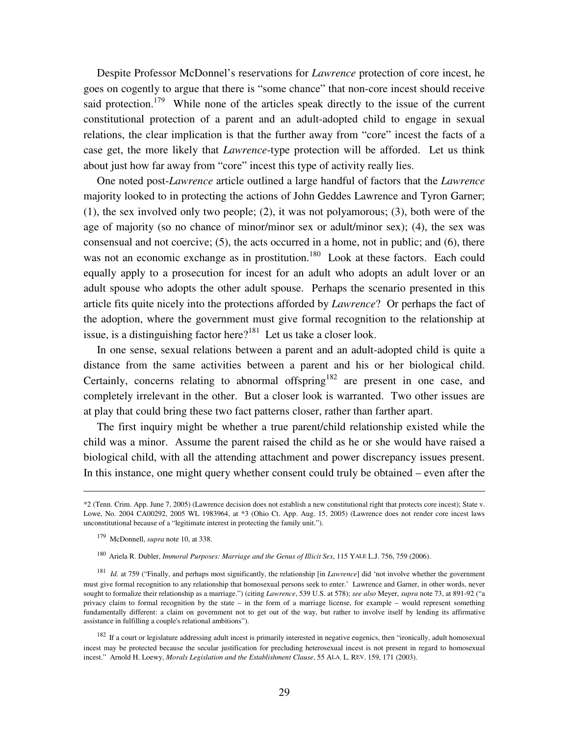Despite Professor McDonnel's reservations for *Lawrence* protection of core incest, he goes on cogently to argue that there is "some chance" that non-core incest should receive said protection.<sup>179</sup> While none of the articles speak directly to the issue of the current constitutional protection of a parent and an adult-adopted child to engage in sexual relations, the clear implication is that the further away from "core" incest the facts of a case get, the more likely that *Lawrence*-type protection will be afforded. Let us think about just how far away from "core" incest this type of activity really lies.

 One noted post-*Lawrence* article outlined a large handful of factors that the *Lawrence* majority looked to in protecting the actions of John Geddes Lawrence and Tyron Garner; (1), the sex involved only two people; (2), it was not polyamorous; (3), both were of the age of majority (so no chance of minor/minor sex or adult/minor sex); (4), the sex was consensual and not coercive; (5), the acts occurred in a home, not in public; and (6), there was not an economic exchange as in prostitution.<sup>180</sup> Look at these factors. Each could equally apply to a prosecution for incest for an adult who adopts an adult lover or an adult spouse who adopts the other adult spouse. Perhaps the scenario presented in this article fits quite nicely into the protections afforded by *Lawrence*? Or perhaps the fact of the adoption, where the government must give formal recognition to the relationship at issue, is a distinguishing factor here? $181$  Let us take a closer look.

 In one sense, sexual relations between a parent and an adult-adopted child is quite a distance from the same activities between a parent and his or her biological child. Certainly, concerns relating to abnormal offspring<sup>182</sup> are present in one case, and completely irrelevant in the other. But a closer look is warranted. Two other issues are at play that could bring these two fact patterns closer, rather than farther apart.

 The first inquiry might be whether a true parent/child relationship existed while the child was a minor. Assume the parent raised the child as he or she would have raised a biological child, with all the attending attachment and power discrepancy issues present. In this instance, one might query whether consent could truly be obtained – even after the

 $\overline{a}$ 

<sup>\*2 (</sup>Tenn. Crim. App. June 7, 2005) (Lawrence decision does not establish a new constitutional right that protects core incest); State v. Lowe, No. 2004 CA00292, 2005 WL 1983964, at \*3 (Ohio Ct. App. Aug. 15, 2005) (Lawrence does not render core incest laws unconstitutional because of a "legitimate interest in protecting the family unit.").

<sup>179</sup> McDonnell, *supra* note 10, at 338.

<sup>&</sup>lt;sup>180</sup> Ariela R. Dubler, *Immoral Purposes: Marriage and the Genus of Illicit Sex*, 115 YALE L.J. 756, 759 (2006).

<sup>181</sup> *Id.* at 759 ("Finally, and perhaps most significantly, the relationship [in *Lawrence*] did 'not involve whether the government must give formal recognition to any relationship that homosexual persons seek to enter.' Lawrence and Garner, in other words, never sought to formalize their relationship as a marriage.") (citing *Lawrence*, 539 U.S. at 578); *see also* Meyer, *supra* note 73, at 891-92 ("a privacy claim to formal recognition by the state – in the form of a marriage license, for example – would represent something fundamentally different: a claim on government not to get out of the way, but rather to involve itself by lending its affirmative assistance in fulfilling a couple's relational ambitions").

 $182$  If a court or legislature addressing adult incest is primarily interested in negative eugenics, then "ironically, adult homosexual incest may be protected because the secular justification for precluding heterosexual incest is not present in regard to homosexual incest." Arnold H. Loewy, *Morals Legislation and the Establishment Clause*, 55 ALA. L. REV. 159, 171 (2003).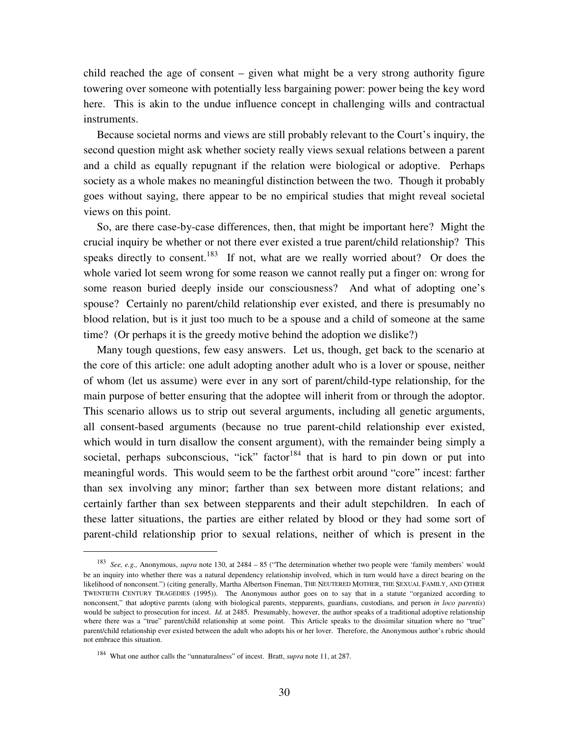child reached the age of consent – given what might be a very strong authority figure towering over someone with potentially less bargaining power: power being the key word here. This is akin to the undue influence concept in challenging wills and contractual instruments.

 Because societal norms and views are still probably relevant to the Court's inquiry, the second question might ask whether society really views sexual relations between a parent and a child as equally repugnant if the relation were biological or adoptive. Perhaps society as a whole makes no meaningful distinction between the two. Though it probably goes without saying, there appear to be no empirical studies that might reveal societal views on this point.

 So, are there case-by-case differences, then, that might be important here? Might the crucial inquiry be whether or not there ever existed a true parent/child relationship? This speaks directly to consent.<sup>183</sup> If not, what are we really worried about? Or does the whole varied lot seem wrong for some reason we cannot really put a finger on: wrong for some reason buried deeply inside our consciousness? And what of adopting one's spouse? Certainly no parent/child relationship ever existed, and there is presumably no blood relation, but is it just too much to be a spouse and a child of someone at the same time? (Or perhaps it is the greedy motive behind the adoption we dislike?)

 Many tough questions, few easy answers. Let us, though, get back to the scenario at the core of this article: one adult adopting another adult who is a lover or spouse, neither of whom (let us assume) were ever in any sort of parent/child-type relationship, for the main purpose of better ensuring that the adoptee will inherit from or through the adoptor. This scenario allows us to strip out several arguments, including all genetic arguments, all consent-based arguments (because no true parent-child relationship ever existed, which would in turn disallow the consent argument), with the remainder being simply a societal, perhaps subconscious, "ick" factor<sup>184</sup> that is hard to pin down or put into meaningful words. This would seem to be the farthest orbit around "core" incest: farther than sex involving any minor; farther than sex between more distant relations; and certainly farther than sex between stepparents and their adult stepchildren. In each of these latter situations, the parties are either related by blood or they had some sort of parent-child relationship prior to sexual relations, neither of which is present in the

-

<sup>183</sup> *See, e.g.,* Anonymous, *supra* note 130, at 2484 – 85 ("The determination whether two people were 'family members' would be an inquiry into whether there was a natural dependency relationship involved, which in turn would have a direct bearing on the likelihood of nonconsent.") (citing generally, Martha Albertson Fineman, THE NEUTERED MOTHER, THE SEXUAL FAMILY, AND OTHER TWENTIETH CENTURY TRAGEDIES (1995)). The Anonymous author goes on to say that in a statute "organized according to nonconsent," that adoptive parents (along with biological parents, stepparents, guardians, custodians, and person *in loco parentis*) would be subject to prosecution for incest. *Id.* at 2485. Presumably, however, the author speaks of a traditional adoptive relationship where there was a "true" parent/child relationship at some point. This Article speaks to the dissimilar situation where no "true" parent/child relationship ever existed between the adult who adopts his or her lover. Therefore, the Anonymous author's rubric should not embrace this situation.

<sup>&</sup>lt;sup>184</sup> What one author calls the "unnaturalness" of incest. Bratt, *supra* note 11, at 287.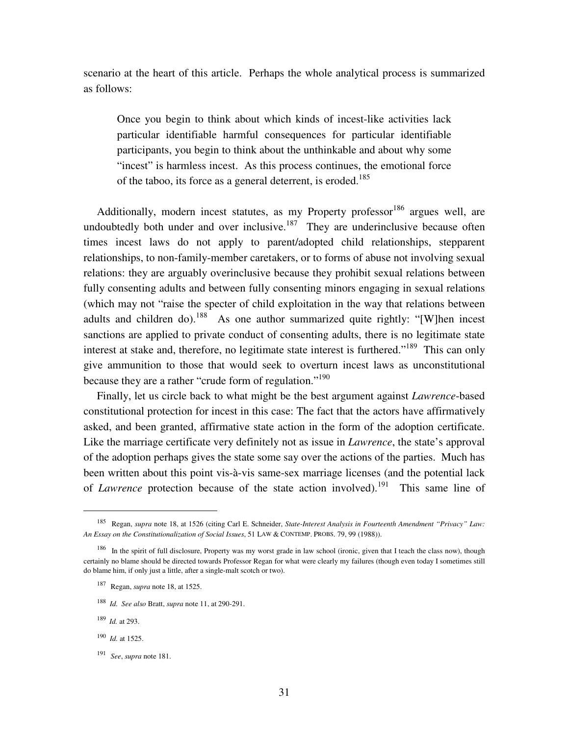scenario at the heart of this article. Perhaps the whole analytical process is summarized as follows:

Once you begin to think about which kinds of incest-like activities lack particular identifiable harmful consequences for particular identifiable participants, you begin to think about the unthinkable and about why some "incest" is harmless incest. As this process continues, the emotional force of the taboo, its force as a general deterrent, is eroded.<sup>185</sup>

Additionally, modern incest statutes, as my Property professor $186$  argues well, are undoubtedly both under and over inclusive. $187$  They are underinclusive because often times incest laws do not apply to parent/adopted child relationships, stepparent relationships, to non-family-member caretakers, or to forms of abuse not involving sexual relations: they are arguably overinclusive because they prohibit sexual relations between fully consenting adults and between fully consenting minors engaging in sexual relations (which may not "raise the specter of child exploitation in the way that relations between adults and children do).<sup>188</sup> As one author summarized quite rightly: "[W]hen incest sanctions are applied to private conduct of consenting adults, there is no legitimate state interest at stake and, therefore, no legitimate state interest is furthered."<sup>189</sup> This can only give ammunition to those that would seek to overturn incest laws as unconstitutional because they are a rather "crude form of regulation."<sup>190</sup>

 Finally, let us circle back to what might be the best argument against *Lawrence*-based constitutional protection for incest in this case: The fact that the actors have affirmatively asked, and been granted, affirmative state action in the form of the adoption certificate. Like the marriage certificate very definitely not as issue in *Lawrence*, the state's approval of the adoption perhaps gives the state some say over the actions of the parties. Much has been written about this point vis-à-vis same-sex marriage licenses (and the potential lack of *Lawrence* protection because of the state action involved).<sup>191</sup> This same line of

 $\overline{a}$ 

<sup>185</sup> Regan, *supra* note 18, at 1526 (citing Carl E. Schneider, *State-Interest Analysis in Fourteenth Amendment "Privacy" Law: An Essay on the Constitutionalization of Social Issues*, 51 LAW & CONTEMP. PROBS. 79, 99 (1988)).

<sup>&</sup>lt;sup>186</sup> In the spirit of full disclosure, Property was my worst grade in law school (ironic, given that I teach the class now), though certainly no blame should be directed towards Professor Regan for what were clearly my failures (though even today I sometimes still do blame him, if only just a little, after a single-malt scotch or two).

<sup>187</sup> Regan, *supra* note 18, at 1525.

<sup>188</sup> *Id. See also* Bratt, *supra* note 11, at 290-291.

<sup>189</sup>*Id.* at 293.

<sup>190</sup> *Id.* at 1525.

<sup>191</sup> *See*, *supra* note 181.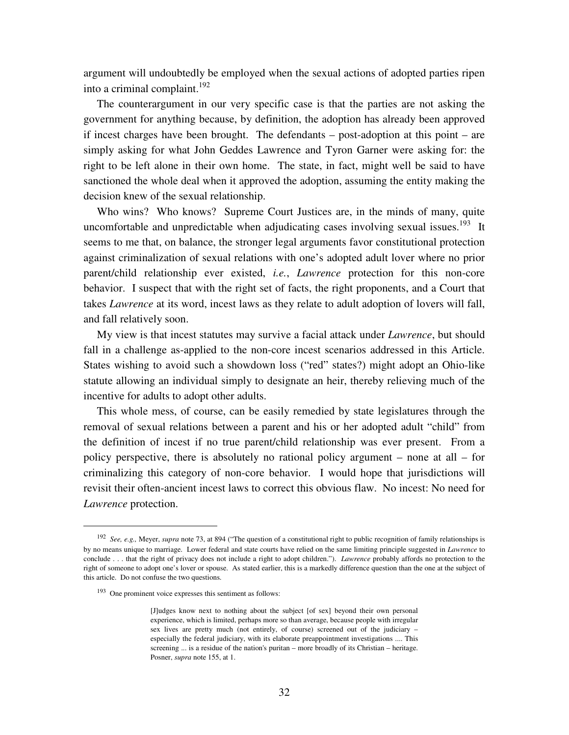argument will undoubtedly be employed when the sexual actions of adopted parties ripen into a criminal complaint. $192$ 

 The counterargument in our very specific case is that the parties are not asking the government for anything because, by definition, the adoption has already been approved if incest charges have been brought. The defendants – post-adoption at this point – are simply asking for what John Geddes Lawrence and Tyron Garner were asking for: the right to be left alone in their own home. The state, in fact, might well be said to have sanctioned the whole deal when it approved the adoption, assuming the entity making the decision knew of the sexual relationship.

 Who wins? Who knows? Supreme Court Justices are, in the minds of many, quite uncomfortable and unpredictable when adjudicating cases involving sexual issues.<sup>193</sup> It seems to me that, on balance, the stronger legal arguments favor constitutional protection against criminalization of sexual relations with one's adopted adult lover where no prior parent/child relationship ever existed, *i.e.*, *Lawrence* protection for this non-core behavior. I suspect that with the right set of facts, the right proponents, and a Court that takes *Lawrence* at its word, incest laws as they relate to adult adoption of lovers will fall, and fall relatively soon.

 My view is that incest statutes may survive a facial attack under *Lawrence*, but should fall in a challenge as-applied to the non-core incest scenarios addressed in this Article. States wishing to avoid such a showdown loss ("red" states?) might adopt an Ohio-like statute allowing an individual simply to designate an heir, thereby relieving much of the incentive for adults to adopt other adults.

 This whole mess, of course, can be easily remedied by state legislatures through the removal of sexual relations between a parent and his or her adopted adult "child" from the definition of incest if no true parent/child relationship was ever present. From a policy perspective, there is absolutely no rational policy argument – none at all – for criminalizing this category of non-core behavior. I would hope that jurisdictions will revisit their often-ancient incest laws to correct this obvious flaw. No incest: No need for *Lawrence* protection.

 $\overline{a}$ 

<sup>&</sup>lt;sup>192</sup> See, e.g., Meyer, *supra* note 73, at 894 ("The question of a constitutional right to public recognition of family relationships is by no means unique to marriage. Lower federal and state courts have relied on the same limiting principle suggested in *Lawrence* to conclude . . . that the right of privacy does not include a right to adopt children."). *Lawrence* probably affords no protection to the right of someone to adopt one's lover or spouse. As stated earlier, this is a markedly difference question than the one at the subject of this article. Do not confuse the two questions.

<sup>193</sup> One prominent voice expresses this sentiment as follows:

<sup>[</sup>J]udges know next to nothing about the subject [of sex] beyond their own personal experience, which is limited, perhaps more so than average, because people with irregular sex lives are pretty much (not entirely, of course) screened out of the judiciary – especially the federal judiciary, with its elaborate preappointment investigations .... This screening ... is a residue of the nation's puritan – more broadly of its Christian – heritage. Posner, *supra* note 155, at 1.